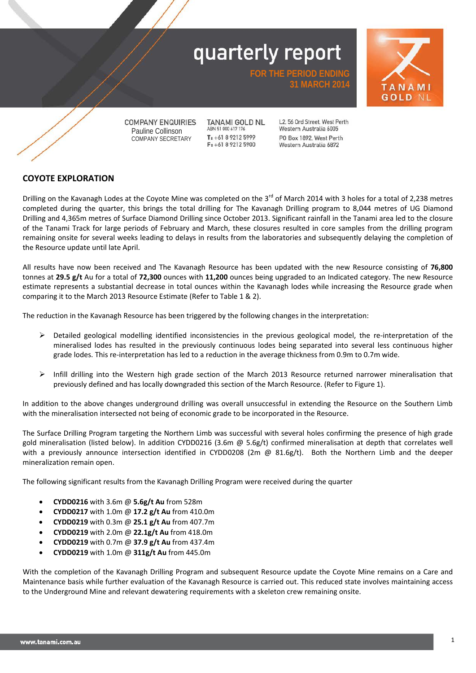

**COMPANY ENQUIRIES** Pauline Collinson COMPANY SECRETARY

TANAMI GOLD NL ABN 51 000 617 176  $T_1 + 61892125999$ F: +61 8 9212 5900

L2, 56 Ord Street, West Perth Western Australia 6005 PO Box 1892, West Perth Western Australia 6872

**31 MARCH 2014**

**FOR THE PERIOD ENDING**

#### **COYOTE EXPLORATION**

Drilling on the Kavanagh Lodes at the Coyote Mine was completed on the 3<sup>rd</sup> of March 2014 with 3 holes for a total of 2,238 metres completed during the quarter, this brings the total drilling for The Kavanagh Drilling program to 8,044 metres of UG Diamond Drilling and 4,365m metres of Surface Diamond Drilling since October 2013. Significant rainfall in the Tanami area led to the closure of the Tanami Track for large periods of February and March, these closures resulted in core samples from the drilling program remaining onsite f*o*r several weeks leading to delays in results from the laboratories and subsequently delaying the completion of the Resource update until late April.

All results have now been received and The Kavanagh Resource has been updated with the new Resource consisting of **76,800**  tonnes at **29.5 g/t** Au for a total of **72,300** ounces with **11,200** ounces being upgraded to an Indicated category. The new Resource estimate represents a substantial decrease in total ounces within the Kavanagh lodes while increasing the Resource grade when comparing it to the March 2013 Resource Estimate (Refer to Table 1 & 2).

The reduction in the Kavanagh Resource has been triggered by the following changes in the interpretation:

- $\triangleright$  Detailed geological modelling identified inconsistencies in the previous geological model, the re-interpretation of the mineralised lodes has resulted in the previously continuous lodes being separated into several less continuous higher grade lodes. This re-interpretation has led to a reduction in the average thickness from 0.9m to 0.7m wide.
- $\triangleright$  Infill drilling into the Western high grade section of the March 2013 Resource returned narrower mineralisation that previously defined and has locally downgraded this section of the March Resource. (Refer to Figure 1).

In addition to the above changes underground drilling was overall unsuccessful in extending the Resource on the Southern Limb with the mineralisation intersected not being of economic grade to be incorporated in the Resource.

The Surface Drilling Program targeting the Northern Limb was successful with several holes confirming the presence of high grade gold mineralisation (listed below). In addition CYDD0216 (3.6m @ 5.6g/t) confirmed mineralisation at depth that correlates well with a previously announce intersection identified in CYDD0208 (2m  $\omega$  81.6g/t). Both the Northern Limb and the deeper mineralization remain open.

The following significant results from the Kavanagh Drilling Program were received during the quarter

- **CYDD0216** with 3.6m @ **5.6g/t Au** from 528m
- **CYDD0217** with 1.0m @ **17.2 g/t Au** from 410.0m
- **CYDD0219** with 0.3m @ **25.1 g/t Au** from 407.7m
- **CYDD0219** with 2.0m @ **22.1g/t Au** from 418.0m
- **CYDD0219** with 0.7m @ **37.9 g/t Au** from 437.4m
- **CYDD0219** with 1.0m @ **311g/t Au** from 445.0m

With the completion of the Kavanagh Drilling Program and subsequent Resource update the Coyote Mine remains on a Care and Maintenance basis while further evaluation of the Kavanagh Resource is carried out. This reduced state involves maintaining access to the Underground Mine and relevant dewatering requirements with a skeleton crew remaining onsite.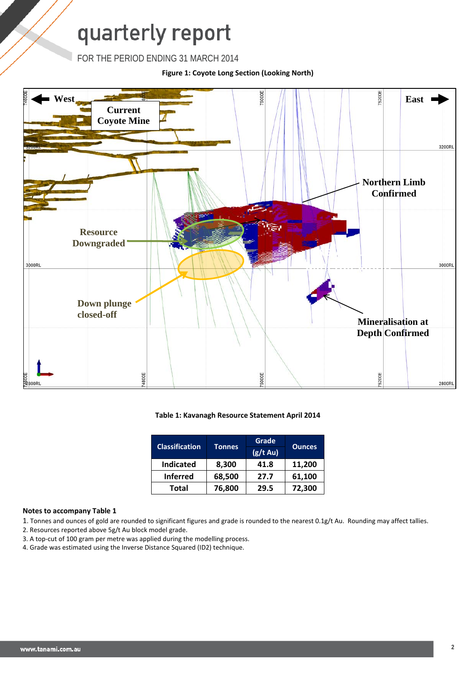FOR THE PERIOD ENDING 31 MARCH 2014

**Figure 1: Coyote Long Section (Looking North)**



#### **Table 1: Kavanagh Resource Statement April 2014**

| <b>Classification</b> |               | Grade             |               |  |
|-----------------------|---------------|-------------------|---------------|--|
|                       | <b>Tonnes</b> | $(g/t \text{Au})$ | <b>Ounces</b> |  |
| <b>Indicated</b>      | 8,300         | 41.8              | 11,200        |  |
| <b>Inferred</b>       | 68,500        | 27.7              | 61,100        |  |
| <b>Total</b>          | 76,800        | 29.5              | 72,300        |  |

#### **Notes to accompany Table 1**

1. Tonnes and ounces of gold are rounded to significant figures and grade is rounded to the nearest 0.1g/t Au. Rounding may affect tallies.

- 2. Resources reported above 5g/t Au block model grade.
- 3. A top-cut of 100 gram per metre was applied during the modelling process.
- 4. Grade was estimated using the Inverse Distance Squared (ID2) technique.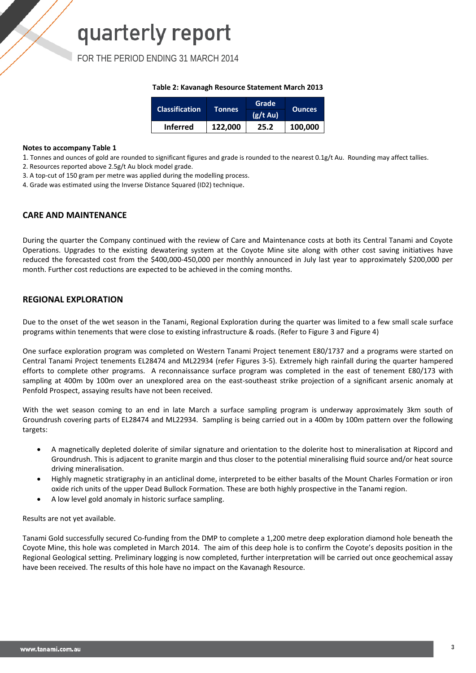FOR THE PERIOD ENDING 31 MARCH 2014

#### **Table 2: Kavanagh Resource Statement March 2013**

| <b>Classification</b> | Tonnes  | Grade         | <b>Ounces</b> |
|-----------------------|---------|---------------|---------------|
|                       |         | $(g/t \, Au)$ |               |
| <b>Inferred</b>       | 122,000 | 25.2          | 100,000       |

#### **Notes to accompany Table 1**

1. Tonnes and ounces of gold are rounded to significant figures and grade is rounded to the nearest 0.1g/t Au. Rounding may affect tallies.

2. Resources reported above 2.5g/t Au block model grade.

3. A top-cut of 150 gram per metre was applied during the modelling process.

4. Grade was estimated using the Inverse Distance Squared (ID2) technique.

#### **CARE AND MAINTENANCE**

During the quarter the Company continued with the review of Care and Maintenance costs at both its Central Tanami and Coyote Operations. Upgrades to the existing dewatering system at the Coyote Mine site along with other cost saving initiatives have reduced the forecasted cost from the \$400,000-450,000 per monthly announced in July last year to approximately \$200,000 per month. Further cost reductions are expected to be achieved in the coming months.

#### **REGIONAL EXPLORATION**

Due to the onset of the wet season in the Tanami, Regional Exploration during the quarter was limited to a few small scale surface programs within tenements that were close to existing infrastructure & roads. (Refer to Figure 3 and Figure 4)

One surface exploration program was completed on Western Tanami Project tenement E80/1737 and a programs were started on Central Tanami Project tenements EL28474 and ML22934 (refer Figures 3-5). Extremely high rainfall during the quarter hampered efforts to complete other programs. A reconnaissance surface program was completed in the east of tenement E80/173 with sampling at 400m by 100m over an unexplored area on the east-southeast strike projection of a significant arsenic anomaly at Penfold Prospect, assaying results have not been received.

With the wet season coming to an end in late March a surface sampling program is underway approximately 3km south of Groundrush covering parts of EL28474 and ML22934. Sampling is being carried out in a 400m by 100m pattern over the following targets:

- A magnetically depleted dolerite of similar signature and orientation to the dolerite host to mineralisation at Ripcord and Groundrush. This is adjacent to granite margin and thus closer to the potential mineralising fluid source and/or heat source driving mineralisation.
- Highly magnetic stratigraphy in an anticlinal dome, interpreted to be either basalts of the Mount Charles Formation or iron oxide rich units of the upper Dead Bullock Formation. These are both highly prospective in the Tanami region.
- A low level gold anomaly in historic surface sampling.

Results are not yet available.

Tanami Gold successfully secured Co-funding from the DMP to complete a 1,200 metre deep exploration diamond hole beneath the Coyote Mine, this hole was completed in March 2014. The aim of this deep hole is to confirm the Coyote's deposits position in the Regional Geological setting. Preliminary logging is now completed, further interpretation will be carried out once geochemical assay have been received. The results of this hole have no impact on the Kavanagh Resource.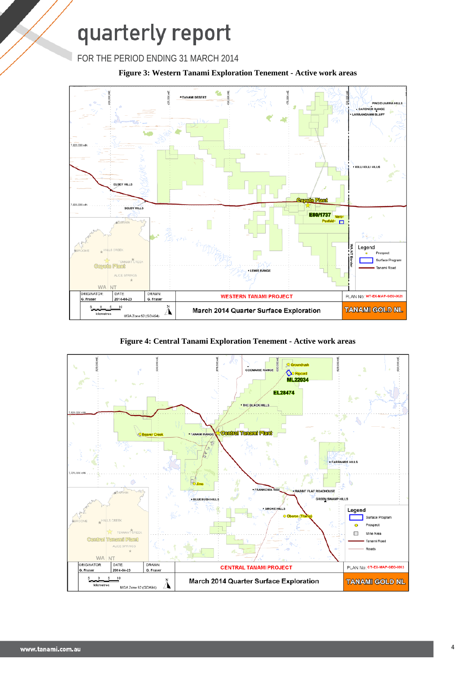



**Figure 4: Central Tanami Exploration Tenement - Active work areas**

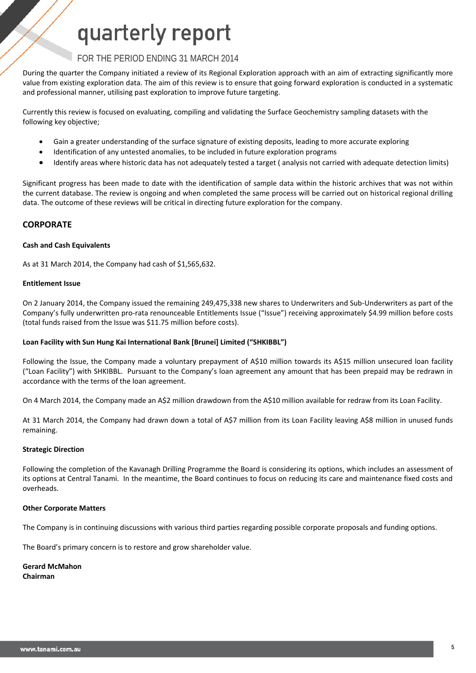#### FOR THE PERIOD ENDING 31 MARCH 2014

During the quarter the Company initiated a review of its Regional Exploration approach with an aim of extracting significantly more value from existing exploration data. The aim of this review is to ensure that going forward exploration is conducted in a systematic and professional manner, utilising past exploration to improve future targeting.

Currently this review is focused on evaluating, compiling and validating the Surface Geochemistry sampling datasets with the following key objective;

- Gain a greater understanding of the surface signature of existing deposits, leading to more accurate exploring
- Identification of any untested anomalies, to be included in future exploration programs
- Identify areas where historic data has not adequately tested a target ( analysis not carried with adequate detection limits)

Significant progress has been made to date with the identification of sample data within the historic archives that was not within the current database. The review is ongoing and when completed the same process will be carried out on historical regional drilling data. The outcome of these reviews will be critical in directing future exploration for the company.

#### **CORPORATE**

#### **Cash and Cash Equivalents**

As at 31 March 2014, the Company had cash of \$1,565,632.

#### **Entitlement Issue**

On 2 January 2014, the Company issued the remaining 249,475,338 new shares to Underwriters and Sub-Underwriters as part of the Company's fully underwritten pro-rata renounceable Entitlements Issue ("Issue") receiving approximately \$4.99 million before costs (total funds raised from the Issue was \$11.75 million before costs).

#### **Loan Facility with Sun Hung Kai International Bank [Brunei] Limited ("SHKIBBL")**

Following the Issue, the Company made a voluntary prepayment of A\$10 million towards its A\$15 million unsecured loan facility ("Loan Facility") with SHKIBBL. Pursuant to the Company's loan agreement any amount that has been prepaid may be redrawn in accordance with the terms of the loan agreement.

On 4 March 2014, the Company made an A\$2 million drawdown from the A\$10 million available for redraw from its Loan Facility.

At 31 March 2014, the Company had drawn down a total of A\$7 million from its Loan Facility leaving A\$8 million in unused funds remaining.

#### **Strategic Direction**

Following the completion of the Kavanagh Drilling Programme the Board is considering its options, which includes an assessment of its options at Central Tanami. In the meantime, the Board continues to focus on reducing its care and maintenance fixed costs and overheads.

#### **Other Corporate Matters**

The Company is in continuing discussions with various third parties regarding possible corporate proposals and funding options.

The Board's primary concern is to restore and grow shareholder value.

#### **Gerard McMahon**

**Chairman**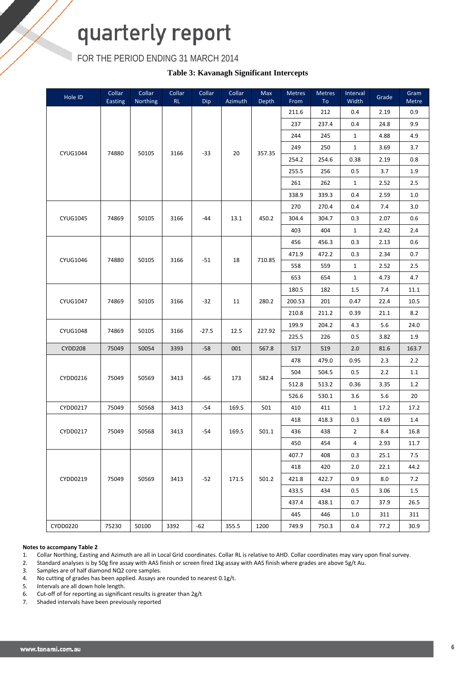FOR THE PERIOD ENDING 31 MARCH 2014

**Table 3: Kavanagh Significant Intercepts**

| Hole ID         | Collar<br>Easting | Collar<br><b>Northing</b> | Collar<br>RL | Collar<br>Dip | Collar<br>Azimuth | Max<br>Depth | Metres<br>From | Metres<br>To | Interval<br>Width | Grade | Gram<br>Metre |
|-----------------|-------------------|---------------------------|--------------|---------------|-------------------|--------------|----------------|--------------|-------------------|-------|---------------|
|                 |                   |                           |              |               |                   |              | 211.6          | 212          | 0.4               | 2.19  | 0.9           |
|                 |                   |                           |              |               |                   |              | 237            | 237.4        | 0.4               | 24.8  | 9.9           |
|                 |                   |                           |              |               |                   |              | 244            | 245          | $\mathbf{1}$      | 4.88  | 4.9           |
|                 |                   |                           |              |               |                   |              | 249            | 250          | $\mathbf{1}$      | 3.69  | 3.7           |
| <b>CYUG1044</b> | 74880             | 50105                     | 3166         | $-33$         | 20                | 357.35       | 254.2          | 254.6        | 0.38              | 2.19  | 0.8           |
|                 |                   |                           |              |               |                   |              | 255.5          | 256          | 0.5               | 3.7   | 1.9           |
|                 |                   |                           |              |               |                   |              | 261            | 262          | $\mathbf{1}$      | 2.52  | 2.5           |
|                 |                   |                           |              |               |                   |              | 338.9          | 339.3        | 0.4               | 2.59  | $1.0\,$       |
|                 |                   |                           |              |               |                   |              | 270            | 270.4        | 0.4               | $7.4$ | 3.0           |
| <b>CYUG1045</b> | 74869             | 50105                     | 3166         | -44           | 13.1              | 450.2        | 304.4          | 304.7        | 0.3               | 2.07  | 0.6           |
|                 |                   |                           |              |               |                   |              | 403            | 404          | $\mathbf{1}$      | 2.42  | 2.4           |
|                 |                   |                           |              |               |                   |              | 456            | 456.3        | 0.3               | 2.13  | 0.6           |
|                 |                   |                           |              |               |                   |              | 471.9          | 472.2        | 0.3               | 2.34  | 0.7           |
| CYUG1046        | 74880             | 50105                     | 3166         | $-51$         | 18                | 710.85       | 558            | 559          | $\mathbf{1}$      | 2.52  | $2.5\,$       |
|                 |                   |                           |              |               |                   |              | 653            | 654          | $\mathbf{1}$      | 4.73  | 4.7           |
|                 |                   |                           |              |               |                   |              | 180.5          | 182          | 1.5               | 7.4   | 11.1          |
| <b>CYUG1047</b> | 74869             | 50105                     | 3166         | $-32$         | 11                | 280.2        | 200.53         | 201          | 0.47              | 22.4  | 10.5          |
|                 |                   |                           |              |               |                   |              | 210.8          | 211.2        | 0.39              | 21.1  | 8.2           |
|                 |                   |                           |              |               |                   |              | 199.9          | 204.2        | 4.3               | 5.6   | 24.0          |
| <b>CYUG1048</b> | 74869             | 50105                     | 3166         | $-27.5$       | 12.5              | 227.92       | 225.5          | 226          | 0.5               | 3.82  | 1.9           |
| <b>CYDD208</b>  | 75049             | 50054                     | 3393         | $-58$         | 001               | 567.8        | 517            | 519          | 2.0               | 81.6  | 163.7         |
|                 |                   |                           |              |               |                   |              | 478            | 479.0        | 0.95              | 2.3   | 2.2           |
|                 |                   |                           |              |               |                   |              | 504            | 504.5        | 0.5               | 2.2   | 1.1           |
| CYDD0216        | 75049             | 50569                     | 3413         | -66           | 173               | 582.4        | 512.8          | 513.2        | 0.36              | 3.35  | 1.2           |
|                 |                   |                           |              |               |                   |              | 526.6          | 530.1        | 3.6               | 5.6   | 20            |
| CYDD0217        | 75049             | 50568                     | 3413         | $-54$         | 169.5             | 501          | 410            | 411          | $\mathbf{1}$      | 17.2  | 17.2          |
|                 |                   |                           |              |               |                   |              | 418            | 418.3        | 0.3               | 4.69  | 1.4           |
| CYDD0217        | 75049             | 50568                     | 3413         | $-54$         | 169.5             | 501.1        | 436            | 438          | $\overline{2}$    | 8.4   | 16.8          |
|                 |                   |                           |              |               |                   |              | 450            | 454          | $\overline{4}$    | 2.93  | 11.7          |
|                 |                   |                           |              |               |                   |              | 407.7          | 408          | 0.3               | 25.1  | 7.5           |
|                 |                   |                           |              |               |                   |              | 418            | 420          | 2.0               | 22.1  | 44.2          |
| CYDD0219        | 75049             | 50569                     | 3413         | $-52$         | 171.5             | 501.2        | 421.8          | 422.7        | 0.9               | 8.0   | 7.2           |
|                 |                   |                           |              |               |                   |              | 433.5          | 434          | 0.5               | 3.06  | 1.5           |
|                 |                   |                           |              |               |                   |              | 437.4          | 438.1        | 0.7               | 37.9  | 26.5          |
|                 |                   |                           |              |               |                   |              | 445            | 446          | 1.0               | 311   | 311           |
| CYDD0220        | 75230             | 50100                     | 3392         | $-62$         | 355.5             | 1200         | 749.9          | 750.3        | 0.4               | 77.2  | 30.9          |

#### **Notes to accompany Table 2**

1. Collar Northing, Easting and Azimuth are all in Local Grid coordinates. Collar RL is relative to AHD. Collar coordinates may vary upon final survey.<br>2. Standard analyses is by 50g fire assay with AAS finish or screen fi

2. Standard analyses is by 50g fire assay with AAS finish or screen fired 1kg assay with AAS finish where grades are above 5g/t Au.

3. Samples are of half diamond NQ2 core samples.

4. No cutting of grades has been applied. Assays are rounded to nearest 0.1g/t.

5. Intervals are all down hole length.

6. Cut-off of for reporting as significant results is greater than  $2g/t$ <br>7. Shaded intervals have been previously reported

Shaded intervals have been previously reported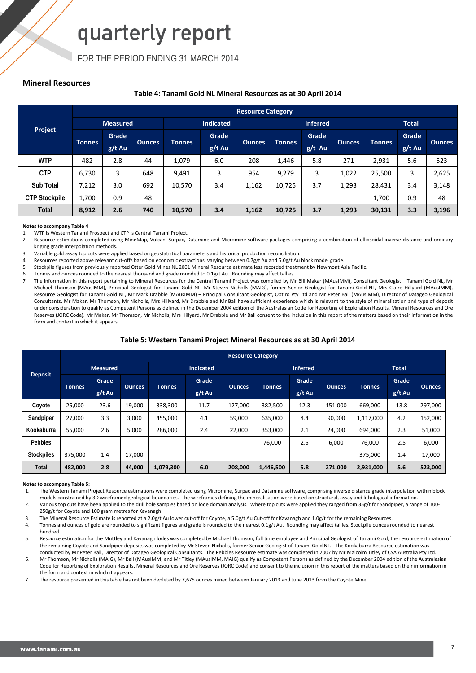FOR THE PERIOD ENDING 31 MARCH 2014

#### **Mineral Resources**

#### **Table 4: Tanami Gold NL Mineral Resources as at 30 April 2014**

|                      |                 | <b>Resource Category</b> |               |                  |          |                                |                 |          |               |               |          |               |  |
|----------------------|-----------------|--------------------------|---------------|------------------|----------|--------------------------------|-----------------|----------|---------------|---------------|----------|---------------|--|
|                      | <b>Measured</b> |                          |               | <b>Indicated</b> |          |                                | <b>Inferred</b> |          |               | <b>Total</b>  |          |               |  |
| Project              |                 | Grade,                   |               |                  | Grade    | <b>Tonnes</b><br><b>Ounces</b> |                 |          | Grade         |               |          | Grade         |  |
|                      | <b>Tonnes</b>   | $g/t$ Au                 | <b>Ounces</b> | <b>Tonnes</b>    | $g/t$ Au |                                |                 | $g/t$ Au | <b>Ounces</b> | <b>Tonnes</b> | $g/t$ Au | <b>Ounces</b> |  |
| <b>WTP</b>           | 482             | 2.8                      | 44            | 1,079            | 6.0      | 208                            | 1,446           | 5.8      | 271           | 2,931         | 5.6      | 523           |  |
| <b>CTP</b>           | 6,730           | 3                        | 648           | 9,491            | 3        | 954                            | 9,279           | 3        | 1,022         | 25,500        | 3        | 2,625         |  |
| Sub Total            | 7,212           | 3.0                      | 692           | 10,570           | 3.4      | 1,162                          | 10,725          | 3.7      | 1,293         | 28,431        | 3.4      | 3,148         |  |
| <b>CTP Stockpile</b> | 1.700           | 0.9                      | 48            |                  |          |                                |                 |          |               | 1,700         | 0.9      | 48            |  |
| Total                | 8,912           | 2.6                      | 740           | 10,570           | 3.4      | 1,162                          | 10,725          | 3.7      | 1,293         | 30,131        | 3.3      | 3,196         |  |

#### **Notes to accompany Table 4**

1. WTP is Western Tanami Prospect and CTP is Central Tanami Project.<br>2. Resource estimations completed using MineMan, Vulcan, Surnac, I

Resource estimations completed using MineMap, Vulcan, Surpac, Datamine and Micromine software packages comprising a combination of ellipsoidal inverse distance and ordinary kriging grade interpolation methods.

3. Variable gold assay top cuts were applied based on geostatistical parameters and historical production reconciliation.

4. Resources reported above relevant cut-offs based on economic extractions, varying between 0.7g/t Au and 5.0g/t Au block model grade.

5. Stockpile figures from previously reported Otter Gold Mines NL 2001 Mineral Resource estimate less recorded treatment by Newmont Asia Pacific.<br>6. Tonnes and ounces rounded to the nearest thousand and grade rounded to 0.

Tonnes and ounces rounded to the nearest thousand and grade rounded to 0.1g/t Au. Rounding may affect tallies.

7. The information in this report pertaining to Mineral Resources for the Central Tanami Project was compiled by Mr Bill Makar (MAusIMM), Consultant Geologist – Tanami Gold NL, Mr Michael Thomson (MAusIMM), Principal Geologist for Tanami Gold NL, Mr Steven Nicholls (MAIG), former Senior Geologist for Tanami Gold NL, Mrs Claire Hillyard (MAusIMM), Resource Geologist for Tanami Gold NL, Mr Mark Drabble (MAusIMM) – Principal Consultant Geologist, Optiro Pty Ltd and Mr Peter Ball (MAusIMM), Director of Datageo Geological Consultants. Mr Makar, Mr Thomson, Mr Nicholls, Mrs Hillyard, Mr Drabble and Mr Ball have sufficient experience which is relevant to the style of mineralisation and type of deposit under consideration to qualify as Competent Persons as defined in the December 2004 edition of the Australasian Code for Reporting of Exploration Results, Mineral Resources and Ore Reserves (JORC Code). Mr Makar, Mr Thomson, Mr Nicholls, Mrs Hillyard, Mr Drabble and Mr Ball consent to the inclusion in this report of the matters based on their information in the form and context in which it annears.

#### **Table 5: Western Tanami Project Mineral Resources as at 30 April 2014**

|                   |               | <b>Resource Category</b> |               |                  |          |         |                                |        |               |               |          |               |
|-------------------|---------------|--------------------------|---------------|------------------|----------|---------|--------------------------------|--------|---------------|---------------|----------|---------------|
|                   |               | <b>Measured</b>          |               | <b>Indicated</b> |          |         | <b>Inferred</b>                |        |               | <b>Total</b>  |          |               |
| <b>Deposit</b>    |               | Grade                    |               |                  | Grade    |         | <b>Tonnes</b><br><b>Ounces</b> | Grade  | <b>Ounces</b> | <b>Tonnes</b> | Grade    |               |
|                   | <b>Tonnes</b> | $g/t$ Au                 | <b>Ounces</b> | <b>Tonnes</b>    | $g/t$ Au |         |                                | g/t Au |               |               | $g/t$ Au | <b>Ounces</b> |
| Coyote            | 25,000        | 23.6                     | 19,000        | 338,300          | 11.7     | 127,000 | 382,500                        | 12.3   | 151,000       | 669,000       | 13.8     | 297,000       |
| Sandpiper         | 27,000        | 3.3                      | 3,000         | 455,000          | 4.1      | 59,000  | 635,000                        | 4.4    | 90,000        | 1,117,000     | 4.2      | 152,000       |
| Kookaburra        | 55,000        | 2.6                      | 5,000         | 286,000          | 2.4      | 22,000  | 353,000                        | 2.1    | 24,000        | 694,000       | 2.3      | 51,000        |
| <b>Pebbles</b>    |               |                          |               |                  |          |         | 76,000                         | 2.5    | 6,000         | 76,000        | 2.5      | 6,000         |
| <b>Stockpiles</b> | 375,000       | 1.4                      | 17,000        |                  |          |         |                                |        |               | 375,000       | 1.4      | 17,000        |
| Total             | 482,000       | 2.8                      | 44,000        | 1,079,300        | 6.0      | 208,000 | 1,446,500                      | 5.8    | 271,000       | 2,931,000     | 5.6      | 523,000       |

#### **Notes to accompany Table 5:**

1. The Western Tanami Project Resource estimations were completed using Micromine, Surpac and Datamine software, comprising inverse distance grade interpolation within block models constrained by 3D wireframed geological boundaries. The wireframes defining the mineralisation were based on structural, assay and lithological information.

2. Various top cuts have been applied to the drill hole samples based on lode domain analysis. Where top cuts were applied they ranged from 35g/t for Sandpiper, a range of 100- 250g/t for Coyote and 100 gram metres for Kavanagh.

3. The Mineral Resource Estimate is reported at a 2.0g/t Au lower cut-off for Coyote, a 5.0g/t Au Cut-off for Kavanagh and 1.0g/t for the remaining Resources.<br>4. Tonnes and ounces of gold are rounded to significant figures

Tonnes and ounces of gold are rounded to significant figures and grade is rounded to the nearest 0.1g/t Au. Rounding may affect tallies. Stockpile ounces rounded to nearest hundred.

5. Resource estimation for the Muttley and Kavanagh lodes was completed by Michael Thomson, full time employee and Principal Geologist of Tanami Gold, the resource estimation of the remaining Coyote and Sandpiper deposits was completed by Mr Steven Nicholls, former Senior Geologist of Tanami Gold NL. The Kookaburra Resource estimation was conducted by Mr Peter Ball, Director of Datageo Geological Consultants. The Pebbles Resource estimate was completed in 2007 by Mr Malcolm Titley of CSA Australia Pty Ltd.

6. Mr Thomson, Mr Nicholls (MAIG), Mr Ball (MAusIMM) and Mr Titley (MAusIMM, MAIG) qualify as Competent Persons as defined by the December 2004 edition of the Australasian Code for Reporting of Exploration Results, Mineral Resources and Ore Reserves (JORC Code) and consent to the inclusion in this report of the matters based on their information in the form and context in which it appears.

7. The resource presented in this table has not been depleted by 7,675 ounces mined between January 2013 and June 2013 from the Coyote Mine.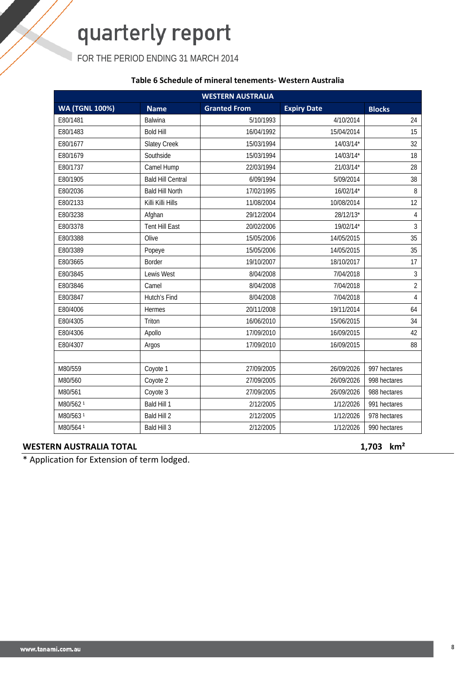FOR THE PERIOD ENDING 31 MARCH 2014

#### **Table 6 Schedule of mineral tenements- Western Australia**

|                       |                          | <b>WESTERN AUSTRALIA</b> |                    |                |
|-----------------------|--------------------------|--------------------------|--------------------|----------------|
| <b>WA (TGNL 100%)</b> | <b>Name</b>              | <b>Granted From</b>      | <b>Expiry Date</b> | <b>Blocks</b>  |
| E80/1481              | Balwina                  | 5/10/1993                | 4/10/2014          | 24             |
| E80/1483              | <b>Bold Hill</b>         | 16/04/1992               | 15/04/2014         | 15             |
| E80/1677              | <b>Slatey Creek</b>      | 15/03/1994               | 14/03/14*          | 32             |
| E80/1679              | Southside                | 15/03/1994               | 14/03/14*          | 18             |
| E80/1737              | Camel Hump               | 22/03/1994               | 21/03/14*          | 28             |
| E80/1905              | <b>Bald Hill Central</b> | 6/09/1994                | 5/09/2014          | 38             |
| E80/2036              | <b>Bald Hill North</b>   | 17/02/1995               | 16/02/14*          | 8              |
| E80/2133              | Killi Killi Hills        | 11/08/2004               | 10/08/2014         | 12             |
| E80/3238              | Afghan                   | 29/12/2004               | 28/12/13*          | $\overline{4}$ |
| E80/3378              | <b>Tent Hill East</b>    | 20/02/2006               | 19/02/14*          | $\overline{3}$ |
| E80/3388              | Olive                    | 15/05/2006               | 14/05/2015         | 35             |
| E80/3389              | Popeye                   | 15/05/2006               | 14/05/2015         | 35             |
| E80/3665              | <b>Border</b>            | 19/10/2007               | 18/10/2017         | 17             |
| E80/3845              | Lewis West               | 8/04/2008                | 7/04/2018          | 3              |
| E80/3846              | Camel                    | 8/04/2008                | 7/04/2018          | $\overline{2}$ |
| E80/3847              | Hutch's Find             | 8/04/2008                | 7/04/2018          | $\overline{4}$ |
| E80/4006              | Hermes                   | 20/11/2008               | 19/11/2014         | 64             |
| E80/4305              | Triton                   | 16/06/2010               | 15/06/2015         | 34             |
| E80/4306              | Apollo                   | 17/09/2010               | 16/09/2015         | 42             |
| E80/4307              | Argos                    | 17/09/2010               | 16/09/2015         | 88             |
|                       |                          |                          |                    |                |
| M80/559               | Coyote 1                 | 27/09/2005               | 26/09/2026         | 997 hectares   |
| M80/560               | Coyote 2                 | 27/09/2005               | 26/09/2026         | 998 hectares   |
| M80/561               | Coyote 3                 | 27/09/2005               | 26/09/2026         | 988 hectares   |
| M80/562 <sup>1</sup>  | Bald Hill 1              | 2/12/2005                | 1/12/2026          | 991 hectares   |
| M80/563 <sup>1</sup>  | Bald Hill 2              | 2/12/2005                | 1/12/2026          | 978 hectares   |
| M80/564 <sup>1</sup>  | Bald Hill 3              | 2/12/2005                | 1/12/2026          | 990 hectares   |

#### **WESTERN AUSTRALIA TOTAL 1,703 km²**

\* Application for Extension of term lodged.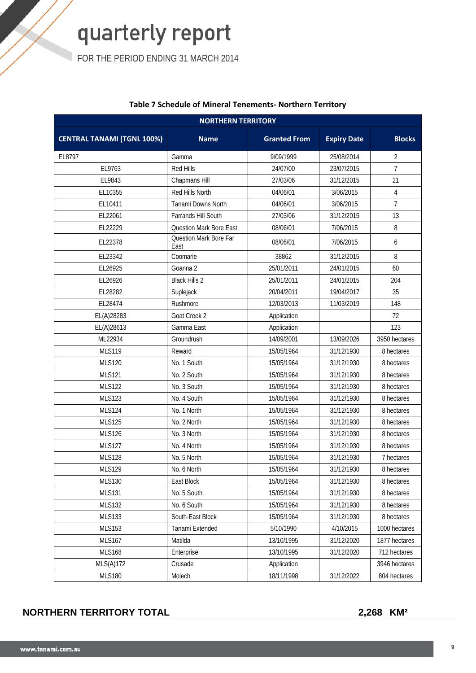FOR THE PERIOD ENDING 31 MARCH 2014

| <b>NORTHERN TERRITORY</b>         |                                |                     |                    |                |  |  |
|-----------------------------------|--------------------------------|---------------------|--------------------|----------------|--|--|
| <b>CENTRAL TANAMI (TGNL 100%)</b> | <b>Name</b>                    | <b>Granted From</b> | <b>Expiry Date</b> | <b>Blocks</b>  |  |  |
| EL8797                            | Gamma                          | 9/09/1999           | 25/08/2014         | $\overline{2}$ |  |  |
| EL9763                            | Red Hills                      | 24/07/00            | 23/07/2015         | $\overline{7}$ |  |  |
| EL9843                            | Chapmans Hill                  | 27/03/06            | 31/12/2015         | 21             |  |  |
| EL10355                           | Red Hills North                | 04/06/01            | 3/06/2015          | 4              |  |  |
| EL10411                           | Tanami Downs North             | 04/06/01            | 3/06/2015          | $\overline{7}$ |  |  |
| EL22061                           | Farrands Hill South            | 27/03/06            | 31/12/2015         | 13             |  |  |
| EL22229                           | <b>Question Mark Bore East</b> | 08/06/01            | 7/06/2015          | 8              |  |  |
| EL22378                           | Question Mark Bore Far<br>East | 08/06/01            | 7/06/2015          | 6              |  |  |
| EL23342                           | Coomarie                       | 38862               | 31/12/2015         | 8              |  |  |
| EL26925                           | Goanna 2                       | 25/01/2011          | 24/01/2015         | 60             |  |  |
| EL26926                           | <b>Black Hills 2</b>           | 25/01/2011          | 24/01/2015         | 204            |  |  |
| EL28282                           | Suplejack                      | 20/04/2011          | 19/04/2017         | 35             |  |  |
| EL28474                           | Rushmore                       | 12/03/2013          | 11/03/2019         | 148            |  |  |
| EL(A)28283                        | Goat Creek 2                   | Application         |                    | 72             |  |  |
| EL(A)28613                        | Gamma East                     | Application         |                    | 123            |  |  |
| ML22934                           | Groundrush                     | 14/09/2001          | 13/09/2026         | 3950 hectares  |  |  |
| <b>MLS119</b>                     | Reward                         | 15/05/1964          | 31/12/1930         | 8 hectares     |  |  |
| <b>MLS120</b>                     | No. 1 South                    | 15/05/1964          | 31/12/1930         | 8 hectares     |  |  |
| <b>MLS121</b>                     | No. 2 South                    | 15/05/1964          | 31/12/1930         | 8 hectares     |  |  |
| <b>MLS122</b>                     | No. 3 South                    | 15/05/1964          | 31/12/1930         | 8 hectares     |  |  |
| <b>MLS123</b>                     | No. 4 South                    | 15/05/1964          | 31/12/1930         | 8 hectares     |  |  |
| <b>MLS124</b>                     | No. 1 North                    | 15/05/1964          | 31/12/1930         | 8 hectares     |  |  |
| <b>MLS125</b>                     | No. 2 North                    | 15/05/1964          | 31/12/1930         | 8 hectares     |  |  |
| <b>MLS126</b>                     | No. 3 North                    | 15/05/1964          | 31/12/1930         | 8 hectares     |  |  |
| <b>MLS127</b>                     | No. 4 North                    | 15/05/1964          | 31/12/1930         | 8 hectares     |  |  |
| <b>MLS128</b>                     | No. 5 North                    | 15/05/1964          | 31/12/1930         | 7 hectares     |  |  |
| <b>MLS129</b>                     | No. 6 North                    | 15/05/1964          | 31/12/1930         | 8 hectares     |  |  |
| <b>MLS130</b>                     | East Block                     | 15/05/1964          | 31/12/1930         | 8 hectares     |  |  |
| <b>MLS131</b>                     | No. 5 South                    | 15/05/1964          | 31/12/1930         | 8 hectares     |  |  |
| <b>MLS132</b>                     | No. 6 South                    | 15/05/1964          | 31/12/1930         | 8 hectares     |  |  |
| <b>MLS133</b>                     | South-East Block               | 15/05/1964          | 31/12/1930         | 8 hectares     |  |  |
| <b>MLS153</b>                     | Tanami Extended                | 5/10/1990           | 4/10/2015          | 1000 hectares  |  |  |
| <b>MLS167</b>                     | Matilda                        | 13/10/1995          | 31/12/2020         | 1877 hectares  |  |  |
| <b>MLS168</b>                     | Enterprise                     | 13/10/1995          | 31/12/2020         | 712 hectares   |  |  |
| MLS(A)172                         | Crusade                        | Application         |                    | 3946 hectares  |  |  |
| <b>MLS180</b>                     | Molech                         | 18/11/1998          | 31/12/2022         | 804 hectares   |  |  |

#### **Table 7 Schedule of Mineral Tenements- Northern Territory**

**NORTHERN TERRITORY TOTAL 2,268 KM²**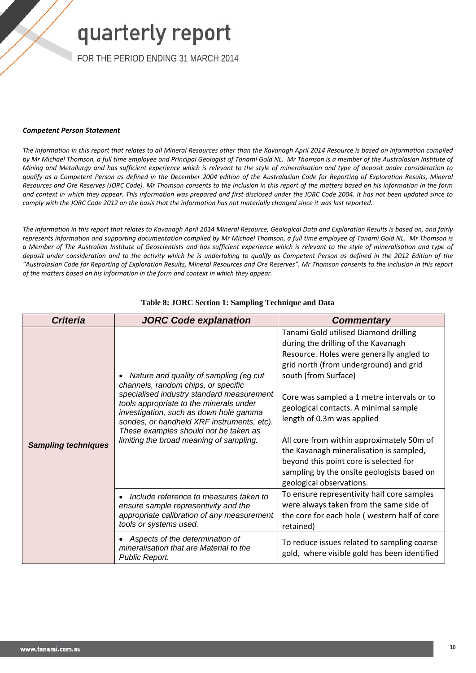FOR THE PERIOD ENDING 31 MARCH 2014

#### *Competent Person Statement*

*The information in this report that relates to all Mineral Resources other than the Kavanagh April 2014 Resource is based on information compiled*  by Mr Michael Thomson, a full time employee and Principal Geologist of Tanami Gold NL. Mr Thomson is a member of the Australasian Institute of *Mining and Metallurgy and has sufficient experience which is relevant to the style of mineralisation and type of deposit under consideration to qualify as a Competent Person as defined in the December 2004 edition of the Australasian Code for Reporting of Exploration Results, Mineral Resources and Ore Reserves (JORC Code). Mr Thomson consents to the inclusion in this report of the matters based on his information in the form and context in which they appear. This information was prepared and first disclosed under the JORC Code 2004. It has not been updated since to comply with the JORC Code 2012 on the basis that the information has not materially changed since it was last reported.*

*The information in this report that relates to Kavanagh April 2014 Mineral Resource, Geological Data and Exploration Results is based on, and fairly represents information and supporting documentation compiled by Mr Michael Thomson, a full time employee of Tanami Gold NL. Mr Thomson is a Member of The Australian Institute of Geoscientists and has sufficient experience which is relevant to the style of mineralisation and type of deposit under consideration and to the activity which he is undertaking to qualify as Competent Person as defined in the 2012 Edition of the "Australasian Code for Reporting of Exploration Results, Mineral Resources and Ore Reserves". Mr Thomson consents to the inclusion in this report of the matters based on his information in the form and context in which they appear.*

| <b>Criteria</b>            | <b>JORC Code explanation</b>                                                                                                                                                                                                                                                                                                                      | <b>Commentary</b>                                                                                                                                                                                                                                                                                                                                                                                                                                                                                                           |
|----------------------------|---------------------------------------------------------------------------------------------------------------------------------------------------------------------------------------------------------------------------------------------------------------------------------------------------------------------------------------------------|-----------------------------------------------------------------------------------------------------------------------------------------------------------------------------------------------------------------------------------------------------------------------------------------------------------------------------------------------------------------------------------------------------------------------------------------------------------------------------------------------------------------------------|
| <b>Sampling techniques</b> | Nature and quality of sampling (eg cut<br>channels, random chips, or specific<br>specialised industry standard measurement<br>tools appropriate to the minerals under<br>investigation, such as down hole gamma<br>sondes, or handheld XRF instruments, etc).<br>These examples should not be taken as<br>limiting the broad meaning of sampling. | Tanami Gold utilised Diamond drilling<br>during the drilling of the Kavanagh<br>Resource. Holes were generally angled to<br>grid north (from underground) and grid<br>south (from Surface)<br>Core was sampled a 1 metre intervals or to<br>geological contacts. A minimal sample<br>length of 0.3m was applied<br>All core from within approximately 50m of<br>the Kavanagh mineralisation is sampled,<br>beyond this point core is selected for<br>sampling by the onsite geologists based on<br>geological observations. |
|                            | Include reference to measures taken to<br>ensure sample representivity and the<br>appropriate calibration of any measurement<br>tools or systems used.                                                                                                                                                                                            | To ensure representivity half core samples<br>were always taken from the same side of<br>the core for each hole (western half of core<br>retained)                                                                                                                                                                                                                                                                                                                                                                          |
|                            | Aspects of the determination of<br>mineralisation that are Material to the<br>Public Report.                                                                                                                                                                                                                                                      | To reduce issues related to sampling coarse<br>gold, where visible gold has been identified                                                                                                                                                                                                                                                                                                                                                                                                                                 |

#### **Table 8: JORC Section 1: Sampling Technique and Data**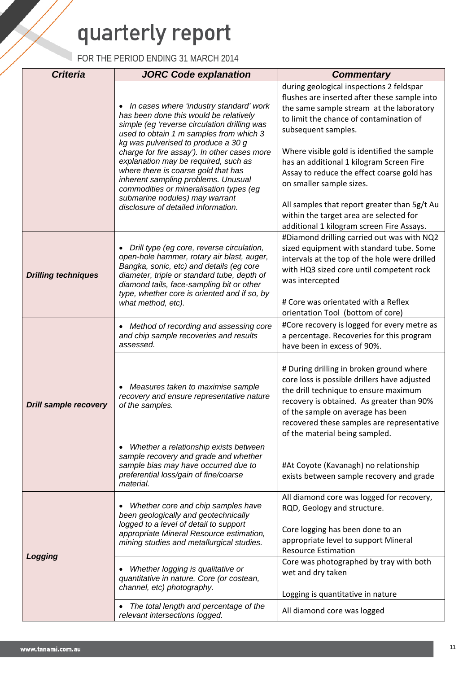| <b>Criteria</b>              | <b>JORC Code explanation</b>                                                                                                                                                                                                                                                                                                                                                                                                                                                                                               | <b>Commentary</b>                                                                                                                                                                                                                                                                                                                                                                                                           |
|------------------------------|----------------------------------------------------------------------------------------------------------------------------------------------------------------------------------------------------------------------------------------------------------------------------------------------------------------------------------------------------------------------------------------------------------------------------------------------------------------------------------------------------------------------------|-----------------------------------------------------------------------------------------------------------------------------------------------------------------------------------------------------------------------------------------------------------------------------------------------------------------------------------------------------------------------------------------------------------------------------|
|                              | In cases where 'industry standard' work<br>$\bullet$<br>has been done this would be relatively<br>simple (eg 'reverse circulation drilling was<br>used to obtain 1 m samples from which 3<br>kg was pulverised to produce a 30 g<br>charge for fire assay'). In other cases more<br>explanation may be required, such as<br>where there is coarse gold that has<br>inherent sampling problems. Unusual<br>commodities or mineralisation types (eg<br>submarine nodules) may warrant<br>disclosure of detailed information. | during geological inspections 2 feldspar<br>flushes are inserted after these sample into<br>the same sample stream at the laboratory<br>to limit the chance of contamination of<br>subsequent samples.<br>Where visible gold is identified the sample<br>has an additional 1 kilogram Screen Fire<br>Assay to reduce the effect coarse gold has<br>on smaller sample sizes.<br>All samples that report greater than 5g/t Au |
|                              |                                                                                                                                                                                                                                                                                                                                                                                                                                                                                                                            | within the target area are selected for<br>additional 1 kilogram screen Fire Assays.                                                                                                                                                                                                                                                                                                                                        |
| <b>Drilling techniques</b>   | Drill type (eg core, reverse circulation,<br>open-hole hammer, rotary air blast, auger,<br>Bangka, sonic, etc) and details (eg core<br>diameter, triple or standard tube, depth of<br>diamond tails, face-sampling bit or other<br>type, whether core is oriented and if so, by<br>what method, etc).                                                                                                                                                                                                                      | #Diamond drilling carried out was with NQ2<br>sized equipment with standard tube. Some<br>intervals at the top of the hole were drilled<br>with HQ3 sized core until competent rock<br>was intercepted<br># Core was orientated with a Reflex<br>orientation Tool (bottom of core)                                                                                                                                          |
|                              | Method of recording and assessing core<br>$\bullet$<br>and chip sample recoveries and results<br>assessed.                                                                                                                                                                                                                                                                                                                                                                                                                 | #Core recovery is logged for every metre as<br>a percentage. Recoveries for this program<br>have been in excess of 90%.                                                                                                                                                                                                                                                                                                     |
| <b>Drill sample recovery</b> | Measures taken to maximise sample<br>recovery and ensure representative nature<br>of the samples.                                                                                                                                                                                                                                                                                                                                                                                                                          | # During drilling in broken ground where<br>core loss is possible drillers have adjusted<br>the drill technique to ensure maximum<br>recovery is obtained. As greater than 90%<br>of the sample on average has been<br>recovered these samples are representative<br>of the material being sampled.                                                                                                                         |
|                              | Whether a relationship exists between<br>$\bullet$<br>sample recovery and grade and whether<br>sample bias may have occurred due to<br>preferential loss/gain of fine/coarse<br>material.                                                                                                                                                                                                                                                                                                                                  | #At Coyote (Kavanagh) no relationship<br>exists between sample recovery and grade                                                                                                                                                                                                                                                                                                                                           |
|                              | Whether core and chip samples have<br>been geologically and geotechnically<br>logged to a level of detail to support<br>appropriate Mineral Resource estimation,<br>mining studies and metallurgical studies.                                                                                                                                                                                                                                                                                                              | All diamond core was logged for recovery,<br>RQD, Geology and structure.<br>Core logging has been done to an<br>appropriate level to support Mineral<br><b>Resource Estimation</b>                                                                                                                                                                                                                                          |
| Logging                      | Whether logging is qualitative or<br>quantitative in nature. Core (or costean,<br>channel, etc) photography.                                                                                                                                                                                                                                                                                                                                                                                                               | Core was photographed by tray with both<br>wet and dry taken<br>Logging is quantitative in nature                                                                                                                                                                                                                                                                                                                           |
|                              | The total length and percentage of the<br>relevant intersections logged.                                                                                                                                                                                                                                                                                                                                                                                                                                                   | All diamond core was logged                                                                                                                                                                                                                                                                                                                                                                                                 |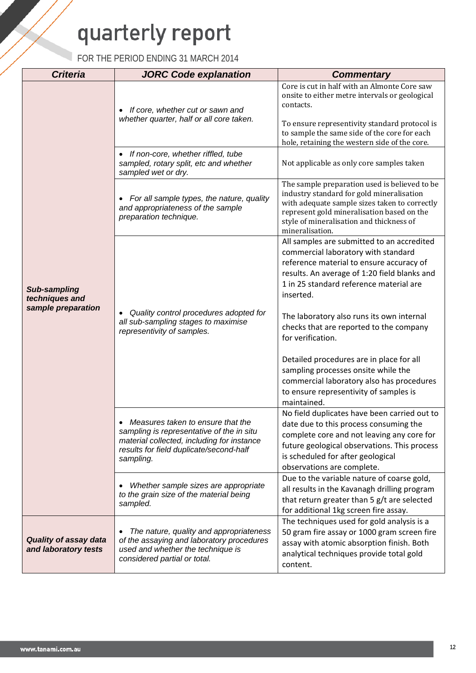| <b>Criteria</b>                                             | <b>JORC Code explanation</b>                                                                                                                                                           | <b>Commentary</b>                                                                                                                                                                                                                                                                                                             |
|-------------------------------------------------------------|----------------------------------------------------------------------------------------------------------------------------------------------------------------------------------------|-------------------------------------------------------------------------------------------------------------------------------------------------------------------------------------------------------------------------------------------------------------------------------------------------------------------------------|
|                                                             | If core, whether cut or sawn and<br>whether quarter, half or all core taken.                                                                                                           | Core is cut in half with an Almonte Core saw<br>onsite to either metre intervals or geological<br>contacts.<br>To ensure representivity standard protocol is<br>to sample the same side of the core for each<br>hole, retaining the western side of the core.                                                                 |
|                                                             | If non-core, whether riffled, tube<br>sampled, rotary split, etc and whether<br>sampled wet or dry.                                                                                    | Not applicable as only core samples taken                                                                                                                                                                                                                                                                                     |
| <b>Sub-sampling</b><br>techniques and<br>sample preparation | For all sample types, the nature, quality<br>and appropriateness of the sample<br>preparation technique.                                                                               | The sample preparation used is believed to be<br>industry standard for gold mineralisation<br>with adequate sample sizes taken to correctly<br>represent gold mineralisation based on the<br>style of mineralisation and thickness of<br>mineralisation.                                                                      |
|                                                             | Quality control procedures adopted for<br>all sub-sampling stages to maximise<br>representivity of samples.                                                                            | All samples are submitted to an accredited<br>commercial laboratory with standard<br>reference material to ensure accuracy of<br>results. An average of 1:20 field blanks and<br>1 in 25 standard reference material are<br>inserted.<br>The laboratory also runs its own internal<br>checks that are reported to the company |
|                                                             |                                                                                                                                                                                        | for verification.<br>Detailed procedures are in place for all<br>sampling processes onsite while the<br>commercial laboratory also has procedures<br>to ensure representivity of samples is<br>maintained.                                                                                                                    |
|                                                             | • Measures taken to ensure that the<br>sampling is representative of the in situ<br>material collected, including for instance<br>results for field duplicate/second-half<br>sampling. | No field duplicates have been carried out to<br>date due to this process consuming the<br>complete core and not leaving any core for<br>future geological observations. This process<br>is scheduled for after geological<br>observations are complete.                                                                       |
|                                                             | Whether sample sizes are appropriate<br>to the grain size of the material being<br>sampled.                                                                                            | Due to the variable nature of coarse gold,<br>all results in the Kavanagh drilling program<br>that return greater than 5 g/t are selected<br>for additional 1kg screen fire assay.                                                                                                                                            |
| <b>Quality of assay data</b><br>and laboratory tests        | The nature, quality and appropriateness<br>$\bullet$<br>of the assaying and laboratory procedures<br>used and whether the technique is<br>considered partial or total.                 | The techniques used for gold analysis is a<br>50 gram fire assay or 1000 gram screen fire<br>assay with atomic absorption finish. Both<br>analytical techniques provide total gold<br>content.                                                                                                                                |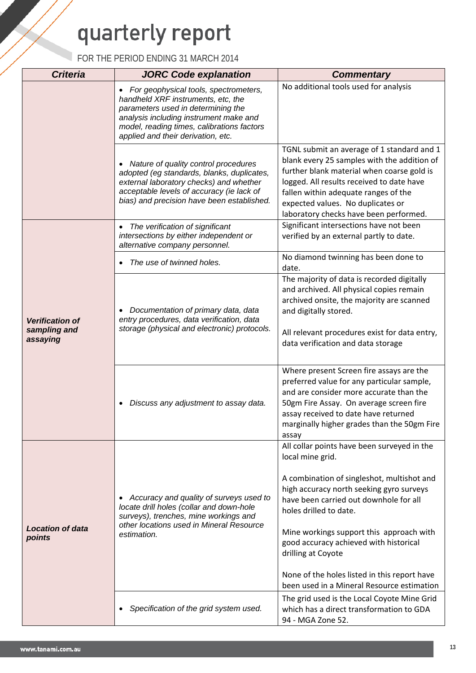| <b>Criteria</b>                                    | <b>JORC Code explanation</b>                                                                                                                                                                                                                                 | <b>Commentary</b>                                                                                                                                                                                                                                                                                                                                                                                                                       |
|----------------------------------------------------|--------------------------------------------------------------------------------------------------------------------------------------------------------------------------------------------------------------------------------------------------------------|-----------------------------------------------------------------------------------------------------------------------------------------------------------------------------------------------------------------------------------------------------------------------------------------------------------------------------------------------------------------------------------------------------------------------------------------|
|                                                    | For geophysical tools, spectrometers,<br>$\bullet$<br>handheld XRF instruments, etc, the<br>parameters used in determining the<br>analysis including instrument make and<br>model, reading times, calibrations factors<br>applied and their derivation, etc. | No additional tools used for analysis                                                                                                                                                                                                                                                                                                                                                                                                   |
|                                                    | Nature of quality control procedures<br>$\bullet$<br>adopted (eg standards, blanks, duplicates,<br>external laboratory checks) and whether<br>acceptable levels of accuracy (ie lack of<br>bias) and precision have been established.                        | TGNL submit an average of 1 standard and 1<br>blank every 25 samples with the addition of<br>further blank material when coarse gold is<br>logged. All results received to date have<br>fallen within adequate ranges of the<br>expected values. No duplicates or<br>laboratory checks have been performed.                                                                                                                             |
|                                                    | The verification of significant<br>$\bullet$<br>intersections by either independent or<br>alternative company personnel.                                                                                                                                     | Significant intersections have not been<br>verified by an external partly to date.                                                                                                                                                                                                                                                                                                                                                      |
|                                                    | The use of twinned holes.                                                                                                                                                                                                                                    | No diamond twinning has been done to<br>date.                                                                                                                                                                                                                                                                                                                                                                                           |
| <b>Verification of</b><br>sampling and<br>assaying | Documentation of primary data, data<br>entry procedures, data verification, data<br>storage (physical and electronic) protocols.                                                                                                                             | The majority of data is recorded digitally<br>and archived. All physical copies remain<br>archived onsite, the majority are scanned<br>and digitally stored.<br>All relevant procedures exist for data entry,<br>data verification and data storage                                                                                                                                                                                     |
|                                                    | Discuss any adjustment to assay data.<br>$\bullet$                                                                                                                                                                                                           | Where present Screen fire assays are the<br>preferred value for any particular sample,<br>and are consider more accurate than the<br>50gm Fire Assay. On average screen fire<br>assay received to date have returned<br>marginally higher grades than the 50gm Fire<br>assay                                                                                                                                                            |
| <b>Location of data</b><br>points                  | Accuracy and quality of surveys used to<br>$\bullet$<br>locate drill holes (collar and down-hole<br>surveys), trenches, mine workings and<br>other locations used in Mineral Resource<br>estimation.                                                         | All collar points have been surveyed in the<br>local mine grid.<br>A combination of singleshot, multishot and<br>high accuracy north seeking gyro surveys<br>have been carried out downhole for all<br>holes drilled to date.<br>Mine workings support this approach with<br>good accuracy achieved with historical<br>drilling at Coyote<br>None of the holes listed in this report have<br>been used in a Mineral Resource estimation |
|                                                    | Specification of the grid system used.<br>$\bullet$                                                                                                                                                                                                          | The grid used is the Local Coyote Mine Grid<br>which has a direct transformation to GDA<br>94 - MGA Zone 52.                                                                                                                                                                                                                                                                                                                            |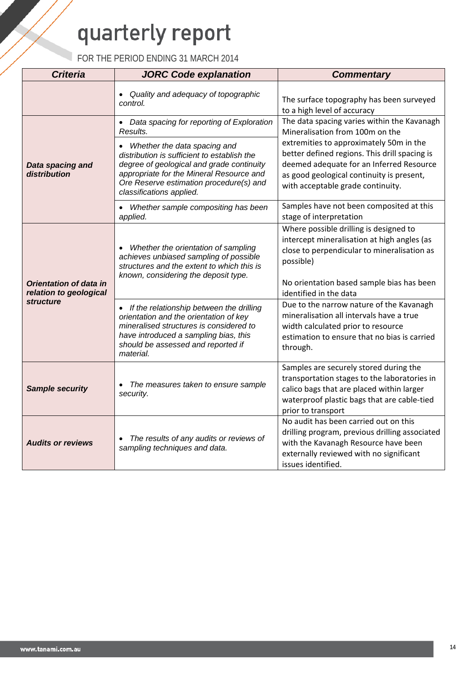| <b>Criteria</b>                            | <b>JORC Code explanation</b>                                                                                                                                                                                                                | <b>Commentary</b>                                                                                                                                                                                                      |  |
|--------------------------------------------|---------------------------------------------------------------------------------------------------------------------------------------------------------------------------------------------------------------------------------------------|------------------------------------------------------------------------------------------------------------------------------------------------------------------------------------------------------------------------|--|
|                                            | Quality and adequacy of topographic<br>$\bullet$<br>control.                                                                                                                                                                                | The surface topography has been surveyed<br>to a high level of accuracy                                                                                                                                                |  |
|                                            | • Data spacing for reporting of Exploration<br>Results.                                                                                                                                                                                     | The data spacing varies within the Kavanagh<br>Mineralisation from 100m on the                                                                                                                                         |  |
| Data spacing and<br>distribution           | Whether the data spacing and<br>distribution is sufficient to establish the<br>degree of geological and grade continuity<br>appropriate for the Mineral Resource and<br>Ore Reserve estimation procedure(s) and<br>classifications applied. | extremities to approximately 50m in the<br>better defined regions. This drill spacing is<br>deemed adequate for an Inferred Resource<br>as good geological continuity is present,<br>with acceptable grade continuity. |  |
|                                            | Whether sample compositing has been<br>applied.                                                                                                                                                                                             | Samples have not been composited at this<br>stage of interpretation                                                                                                                                                    |  |
| Orientation of data in                     | • Whether the orientation of sampling<br>achieves unbiased sampling of possible<br>structures and the extent to which this is<br>known, considering the deposit type.                                                                       | Where possible drilling is designed to<br>intercept mineralisation at high angles (as<br>close to perpendicular to mineralisation as<br>possible)<br>No orientation based sample bias has been                         |  |
| relation to geological<br><i>structure</i> | • If the relationship between the drilling<br>orientation and the orientation of key<br>mineralised structures is considered to<br>have introduced a sampling bias, this<br>should be assessed and reported if<br>material.                 | identified in the data<br>Due to the narrow nature of the Kavanagh<br>mineralisation all intervals have a true<br>width calculated prior to resource<br>estimation to ensure that no bias is carried<br>through.       |  |
| <b>Sample security</b>                     | The measures taken to ensure sample<br>security.                                                                                                                                                                                            | Samples are securely stored during the<br>transportation stages to the laboratories in<br>calico bags that are placed within larger<br>waterproof plastic bags that are cable-tied<br>prior to transport               |  |
| <b>Audits or reviews</b>                   | The results of any audits or reviews of<br>sampling techniques and data.                                                                                                                                                                    | No audit has been carried out on this<br>drilling program, previous drilling associated<br>with the Kavanagh Resource have been<br>externally reviewed with no significant<br>issues identified.                       |  |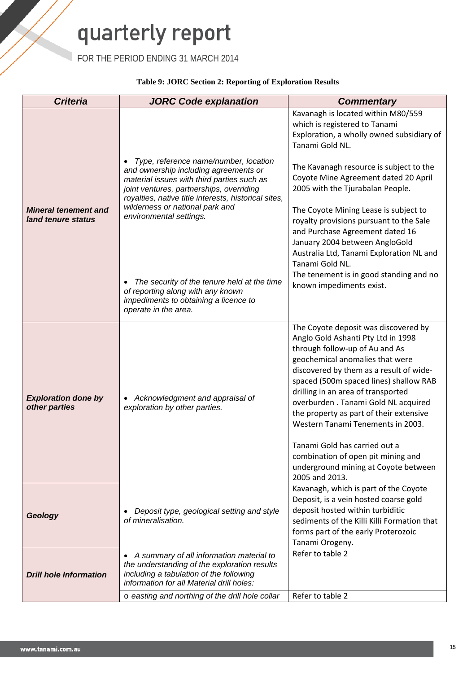FOR THE PERIOD ENDING 31 MARCH 2014

#### **Table 9: JORC Section 2: Reporting of Exploration Results**

| <b>Criteria</b>                                   | <b>JORC Code explanation</b>                                                                                                                                                                                                     | <b>Commentary</b>                                                                                                                                                                                                                                                                                                                                                                                                                                                        |
|---------------------------------------------------|----------------------------------------------------------------------------------------------------------------------------------------------------------------------------------------------------------------------------------|--------------------------------------------------------------------------------------------------------------------------------------------------------------------------------------------------------------------------------------------------------------------------------------------------------------------------------------------------------------------------------------------------------------------------------------------------------------------------|
|                                                   |                                                                                                                                                                                                                                  | Kavanagh is located within M80/559<br>which is registered to Tanami<br>Exploration, a wholly owned subsidiary of<br>Tanami Gold NL.                                                                                                                                                                                                                                                                                                                                      |
|                                                   | Type, reference name/number, location<br>and ownership including agreements or<br>material issues with third parties such as<br>joint ventures, partnerships, overriding<br>royalties, native title interests, historical sites, | The Kavanagh resource is subject to the<br>Coyote Mine Agreement dated 20 April<br>2005 with the Tjurabalan People.                                                                                                                                                                                                                                                                                                                                                      |
| <b>Mineral tenement and</b><br>land tenure status | wilderness or national park and<br>environmental settings.                                                                                                                                                                       | The Coyote Mining Lease is subject to<br>royalty provisions pursuant to the Sale<br>and Purchase Agreement dated 16<br>January 2004 between AngloGold<br>Australia Ltd, Tanami Exploration NL and<br>Tanami Gold NL.                                                                                                                                                                                                                                                     |
|                                                   | The security of the tenure held at the time<br>of reporting along with any known<br>impediments to obtaining a licence to<br>operate in the area.                                                                                | The tenement is in good standing and no<br>known impediments exist.                                                                                                                                                                                                                                                                                                                                                                                                      |
| <b>Exploration done by</b><br>other parties       | Acknowledgment and appraisal of<br>exploration by other parties.                                                                                                                                                                 | The Coyote deposit was discovered by<br>Anglo Gold Ashanti Pty Ltd in 1998<br>through follow-up of Au and As<br>geochemical anomalies that were<br>discovered by them as a result of wide-<br>spaced (500m spaced lines) shallow RAB<br>drilling in an area of transported<br>overburden. Tanami Gold NL acquired<br>the property as part of their extensive<br>Western Tanami Tenements in 2003.<br>Tanami Gold has carried out a<br>combination of open pit mining and |
|                                                   |                                                                                                                                                                                                                                  | underground mining at Coyote between<br>2005 and 2013.<br>Kavanagh, which is part of the Coyote                                                                                                                                                                                                                                                                                                                                                                          |
| Geology                                           | Deposit type, geological setting and style<br>of mineralisation.                                                                                                                                                                 | Deposit, is a vein hosted coarse gold<br>deposit hosted within turbiditic<br>sediments of the Killi Killi Formation that<br>forms part of the early Proterozoic<br>Tanami Orogeny.                                                                                                                                                                                                                                                                                       |
| <b>Drill hole Information</b>                     | • A summary of all information material to<br>the understanding of the exploration results<br>including a tabulation of the following<br>information for all Material drill holes:                                               | Refer to table 2                                                                                                                                                                                                                                                                                                                                                                                                                                                         |
|                                                   | o easting and northing of the drill hole collar                                                                                                                                                                                  | Refer to table 2                                                                                                                                                                                                                                                                                                                                                                                                                                                         |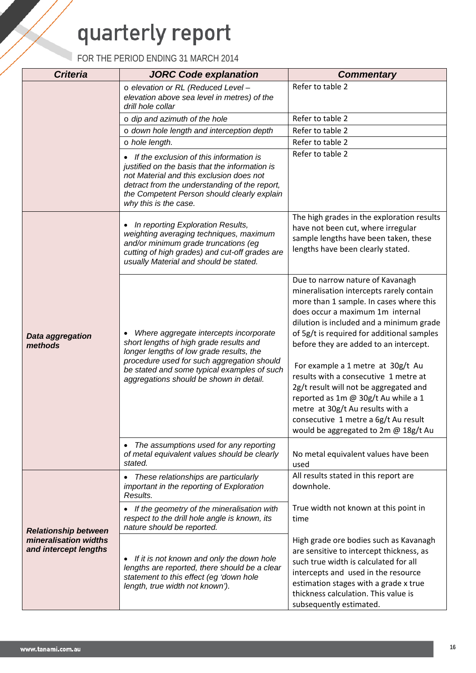| <b>Criteria</b><br><b>JORC Code explanation</b> |                                                                                                                                                                                                                                                                       | <b>Commentary</b>                                                                                                                                                                                                                                                                                                                                                                                                                                                                                                                                                                  |  |
|-------------------------------------------------|-----------------------------------------------------------------------------------------------------------------------------------------------------------------------------------------------------------------------------------------------------------------------|------------------------------------------------------------------------------------------------------------------------------------------------------------------------------------------------------------------------------------------------------------------------------------------------------------------------------------------------------------------------------------------------------------------------------------------------------------------------------------------------------------------------------------------------------------------------------------|--|
|                                                 | o elevation or RL (Reduced Level -                                                                                                                                                                                                                                    | Refer to table 2                                                                                                                                                                                                                                                                                                                                                                                                                                                                                                                                                                   |  |
|                                                 | elevation above sea level in metres) of the<br>drill hole collar                                                                                                                                                                                                      |                                                                                                                                                                                                                                                                                                                                                                                                                                                                                                                                                                                    |  |
|                                                 | $\circ$ dip and azimuth of the hole                                                                                                                                                                                                                                   | Refer to table 2                                                                                                                                                                                                                                                                                                                                                                                                                                                                                                                                                                   |  |
|                                                 | o down hole length and interception depth                                                                                                                                                                                                                             | Refer to table 2                                                                                                                                                                                                                                                                                                                                                                                                                                                                                                                                                                   |  |
|                                                 | o hole length.                                                                                                                                                                                                                                                        | Refer to table 2                                                                                                                                                                                                                                                                                                                                                                                                                                                                                                                                                                   |  |
|                                                 | • If the exclusion of this information is<br>justified on the basis that the information is<br>not Material and this exclusion does not<br>detract from the understanding of the report,<br>the Competent Person should clearly explain<br>why this is the case.      | Refer to table 2                                                                                                                                                                                                                                                                                                                                                                                                                                                                                                                                                                   |  |
|                                                 | In reporting Exploration Results,<br>weighting averaging techniques, maximum<br>and/or minimum grade truncations (eg<br>cutting of high grades) and cut-off grades are<br>usually Material and should be stated.                                                      | The high grades in the exploration results<br>have not been cut, where irregular<br>sample lengths have been taken, these<br>lengths have been clearly stated.                                                                                                                                                                                                                                                                                                                                                                                                                     |  |
| Data aggregation<br>methods                     | Where aggregate intercepts incorporate<br>short lengths of high grade results and<br>longer lengths of low grade results, the<br>procedure used for such aggregation should<br>be stated and some typical examples of such<br>aggregations should be shown in detail. | Due to narrow nature of Kavanagh<br>mineralisation intercepts rarely contain<br>more than 1 sample. In cases where this<br>does occur a maximum 1m internal<br>dilution is included and a minimum grade<br>of 5g/t is required for additional samples<br>before they are added to an intercept.<br>For example a 1 metre at 30g/t Au<br>results with a consecutive 1 metre at<br>2g/t result will not be aggregated and<br>reported as 1m @ 30g/t Au while a 1<br>metre at 30g/t Au results with a<br>consecutive 1 metre a 6g/t Au result<br>would be aggregated to 2m @ 18g/t Au |  |
|                                                 | The assumptions used for any reporting<br>of metal equivalent values should be clearly<br>stated.                                                                                                                                                                     | No metal equivalent values have been<br>used                                                                                                                                                                                                                                                                                                                                                                                                                                                                                                                                       |  |
|                                                 | These relationships are particularly<br>important in the reporting of Exploration<br>Results.                                                                                                                                                                         | All results stated in this report are<br>downhole.                                                                                                                                                                                                                                                                                                                                                                                                                                                                                                                                 |  |
| <b>Relationship between</b>                     | • If the geometry of the mineralisation with<br>respect to the drill hole angle is known, its<br>nature should be reported.                                                                                                                                           | True width not known at this point in<br>time                                                                                                                                                                                                                                                                                                                                                                                                                                                                                                                                      |  |
| mineralisation widths<br>and intercept lengths  | If it is not known and only the down hole<br>lengths are reported, there should be a clear<br>statement to this effect (eg 'down hole<br>length, true width not known').                                                                                              | High grade ore bodies such as Kavanagh<br>are sensitive to intercept thickness, as<br>such true width is calculated for all<br>intercepts and used in the resource<br>estimation stages with a grade x true<br>thickness calculation. This value is<br>subsequently estimated.                                                                                                                                                                                                                                                                                                     |  |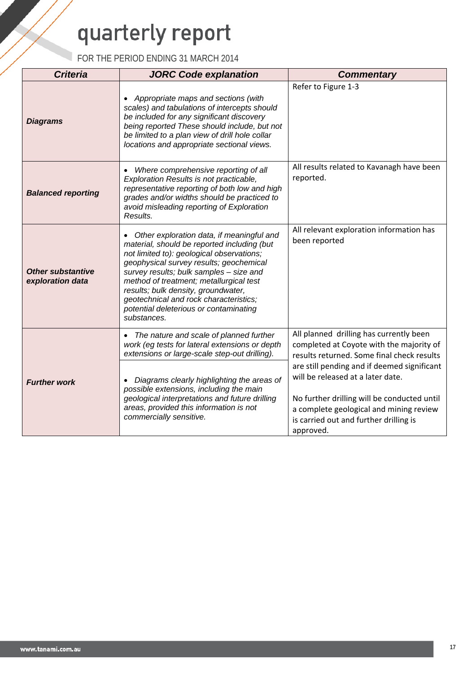| <b>Criteria</b>                              | <b>JORC Code explanation</b>                                                                                                                                                                                                                                                                                                                                                                                     | <b>Commentary</b>                                                                                                                                                                                                                 |
|----------------------------------------------|------------------------------------------------------------------------------------------------------------------------------------------------------------------------------------------------------------------------------------------------------------------------------------------------------------------------------------------------------------------------------------------------------------------|-----------------------------------------------------------------------------------------------------------------------------------------------------------------------------------------------------------------------------------|
| <b>Diagrams</b>                              | Appropriate maps and sections (with<br>scales) and tabulations of intercepts should<br>be included for any significant discovery<br>being reported These should include, but not<br>be limited to a plan view of drill hole collar<br>locations and appropriate sectional views.                                                                                                                                 | Refer to Figure 1-3                                                                                                                                                                                                               |
| <b>Balanced reporting</b>                    | Where comprehensive reporting of all<br>Exploration Results is not practicable,<br>representative reporting of both low and high<br>grades and/or widths should be practiced to<br>avoid misleading reporting of Exploration<br>Results.                                                                                                                                                                         | All results related to Kavanagh have been<br>reported.                                                                                                                                                                            |
| <b>Other substantive</b><br>exploration data | Other exploration data, if meaningful and<br>material, should be reported including (but<br>not limited to): geological observations;<br>geophysical survey results; geochemical<br>survey results; bulk samples - size and<br>method of treatment; metallurgical test<br>results; bulk density, groundwater,<br>geotechnical and rock characteristics;<br>potential deleterious or contaminating<br>substances. | All relevant exploration information has<br>been reported                                                                                                                                                                         |
|                                              | • The nature and scale of planned further<br>work (eg tests for lateral extensions or depth<br>extensions or large-scale step-out drilling).                                                                                                                                                                                                                                                                     | All planned drilling has currently been<br>completed at Coyote with the majority of<br>results returned. Some final check results                                                                                                 |
| <b>Further work</b>                          | Diagrams clearly highlighting the areas of<br>possible extensions, including the main<br>geological interpretations and future drilling<br>areas, provided this information is not<br>commercially sensitive.                                                                                                                                                                                                    | are still pending and if deemed significant<br>will be released at a later date.<br>No further drilling will be conducted until<br>a complete geological and mining review<br>is carried out and further drilling is<br>approved. |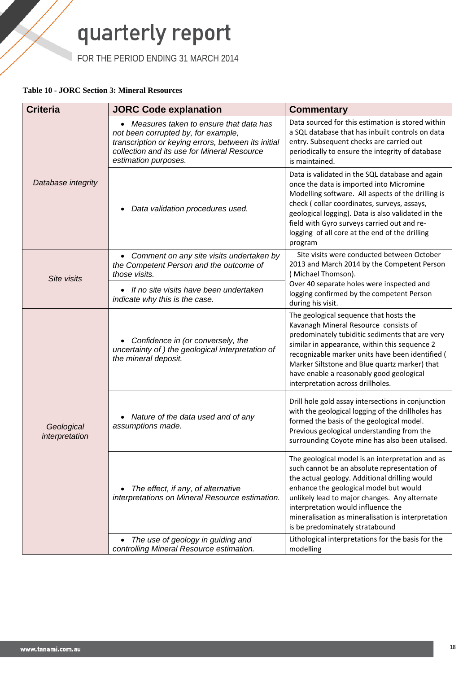FOR THE PERIOD ENDING 31 MARCH 2014

#### **Table 10 - JORC Section 3: Mineral Resources**

| <b>Criteria</b>              | <b>JORC Code explanation</b>                                                                                                                                                                                  | <b>Commentary</b>                                                                                                                                                                                                                                                                                                                                                           |  |
|------------------------------|---------------------------------------------------------------------------------------------------------------------------------------------------------------------------------------------------------------|-----------------------------------------------------------------------------------------------------------------------------------------------------------------------------------------------------------------------------------------------------------------------------------------------------------------------------------------------------------------------------|--|
|                              | • Measures taken to ensure that data has<br>not been corrupted by, for example,<br>transcription or keying errors, between its initial<br>collection and its use for Mineral Resource<br>estimation purposes. | Data sourced for this estimation is stored within<br>a SQL database that has inbuilt controls on data<br>entry. Subsequent checks are carried out<br>periodically to ensure the integrity of database<br>is maintained.                                                                                                                                                     |  |
| Database integrity           | Data validation procedures used.                                                                                                                                                                              | Data is validated in the SQL database and again<br>once the data is imported into Micromine<br>Modelling software. All aspects of the drilling is<br>check (collar coordinates, surveys, assays,<br>geological logging). Data is also validated in the<br>field with Gyro surveys carried out and re-<br>logging of all core at the end of the drilling<br>program          |  |
| Site visits                  | • Comment on any site visits undertaken by<br>the Competent Person and the outcome of<br>those visits.                                                                                                        | Site visits were conducted between October<br>2013 and March 2014 by the Competent Person<br>(Michael Thomson).                                                                                                                                                                                                                                                             |  |
|                              | • If no site visits have been undertaken<br>indicate why this is the case.                                                                                                                                    | Over 40 separate holes were inspected and<br>logging confirmed by the competent Person<br>during his visit.                                                                                                                                                                                                                                                                 |  |
|                              | Confidence in (or conversely, the<br>uncertainty of) the geological interpretation of<br>the mineral deposit.                                                                                                 | The geological sequence that hosts the<br>Kavanagh Mineral Resource consists of<br>predominately tubiditic sediments that are very<br>similar in appearance, within this sequence 2<br>recognizable marker units have been identified (<br>Marker Siltstone and Blue quartz marker) that<br>have enable a reasonably good geological<br>interpretation across drillholes.   |  |
| Geological<br>interpretation | Nature of the data used and of any<br>assumptions made.                                                                                                                                                       | Drill hole gold assay intersections in conjunction<br>with the geological logging of the drillholes has<br>formed the basis of the geological model.<br>Previous geological understanding from the<br>surrounding Coyote mine has also been utalised.                                                                                                                       |  |
|                              | The effect, if any, of alternative<br>$\bullet$<br>interpretations on Mineral Resource estimation.                                                                                                            | The geological model is an interpretation and as<br>such cannot be an absolute representation of<br>the actual geology. Additional drilling would<br>enhance the geological model but would<br>unlikely lead to major changes. Any alternate<br>interpretation would influence the<br>mineralisation as mineralisation is interpretation<br>is be predominately stratabound |  |
|                              | The use of geology in guiding and<br>controlling Mineral Resource estimation.                                                                                                                                 | Lithological interpretations for the basis for the<br>modelling                                                                                                                                                                                                                                                                                                             |  |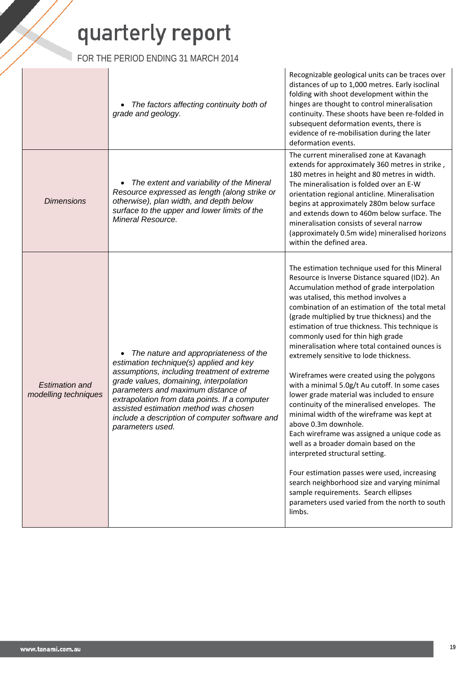FOR THE PERIOD ENDING 31 MARCH 2014

|                                                                                                                                                                                                                                 | The factors affecting continuity both of<br>grade and geology.                                                                                                                                                                                                                                                                                                                  | Recognizable geological units can be traces over<br>distances of up to 1,000 metres. Early isoclinal<br>folding with shoot development within the<br>hinges are thought to control mineralisation<br>continuity. These shoots have been re-folded in<br>subsequent deformation events, there is<br>evidence of re-mobilisation during the later<br>deformation events.                                                                                                                                                                                                                                                                                                                                                                                                                                                                                                                                                                                                                                                                                                             |
|---------------------------------------------------------------------------------------------------------------------------------------------------------------------------------------------------------------------------------|---------------------------------------------------------------------------------------------------------------------------------------------------------------------------------------------------------------------------------------------------------------------------------------------------------------------------------------------------------------------------------|------------------------------------------------------------------------------------------------------------------------------------------------------------------------------------------------------------------------------------------------------------------------------------------------------------------------------------------------------------------------------------------------------------------------------------------------------------------------------------------------------------------------------------------------------------------------------------------------------------------------------------------------------------------------------------------------------------------------------------------------------------------------------------------------------------------------------------------------------------------------------------------------------------------------------------------------------------------------------------------------------------------------------------------------------------------------------------|
| The extent and variability of the Mineral<br>Resource expressed as length (along strike or<br><b>Dimensions</b><br>otherwise), plan width, and depth below<br>surface to the upper and lower limits of the<br>Mineral Resource. |                                                                                                                                                                                                                                                                                                                                                                                 | The current mineralised zone at Kavanagh<br>extends for approximately 360 metres in strike,<br>180 metres in height and 80 metres in width.<br>The mineralisation is folded over an E-W<br>orientation regional anticline. Mineralisation<br>begins at approximately 280m below surface<br>and extends down to 460m below surface. The<br>mineralisation consists of several narrow<br>(approximately 0.5m wide) mineralised horizons<br>within the defined area.                                                                                                                                                                                                                                                                                                                                                                                                                                                                                                                                                                                                                  |
| <b>Estimation and</b><br>modelling techniques                                                                                                                                                                                   | The nature and appropriateness of the<br>estimation technique(s) applied and key<br>assumptions, including treatment of extreme<br>grade values, domaining, interpolation<br>parameters and maximum distance of<br>extrapolation from data points. If a computer<br>assisted estimation method was chosen<br>include a description of computer software and<br>parameters used. | The estimation technique used for this Mineral<br>Resource is Inverse Distance squared (ID2). An<br>Accumulation method of grade interpolation<br>was utalised, this method involves a<br>combination of an estimation of the total metal<br>(grade multiplied by true thickness) and the<br>estimation of true thickness. This technique is<br>commonly used for thin high grade<br>mineralisation where total contained ounces is<br>extremely sensitive to lode thickness.<br>Wireframes were created using the polygons<br>with a minimal 5.0g/t Au cutoff. In some cases<br>lower grade material was included to ensure<br>continuity of the mineralised envelopes. The<br>minimal width of the wireframe was kept at<br>above 0.3m downhole.<br>Each wireframe was assigned a unique code as<br>well as a broader domain based on the<br>interpreted structural setting.<br>Four estimation passes were used, increasing<br>search neighborhood size and varying minimal<br>sample requirements. Search ellipses<br>parameters used varied from the north to south<br>limbs. |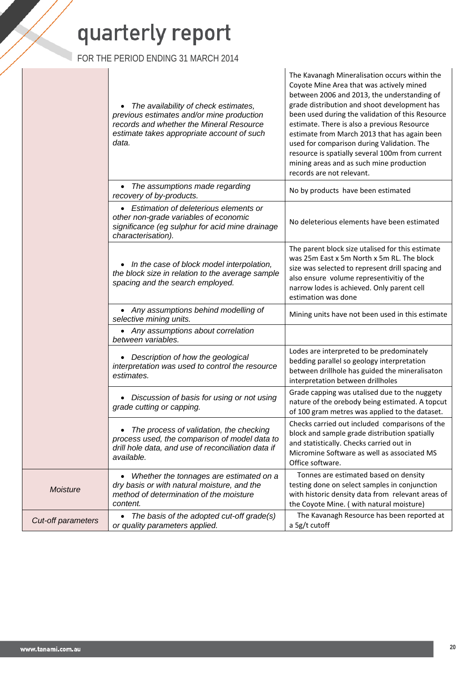FOR THE PERIOD ENDING 31 MARCH 2014

|                           | The availability of check estimates,<br>previous estimates and/or mine production<br>records and whether the Mineral Resource<br>estimate takes appropriate account of such<br>data. | Coyote Mine Area that was actively mined<br>between 2006 and 2013, the understanding of<br>grade distribution and shoot development has<br>been used during the validation of this Resource<br>estimate. There is also a previous Resource<br>estimate from March 2013 that has again been<br>used for comparison during Validation. The<br>resource is spatially several 100m from current<br>mining areas and as such mine production<br>records are not relevant. |
|---------------------------|--------------------------------------------------------------------------------------------------------------------------------------------------------------------------------------|----------------------------------------------------------------------------------------------------------------------------------------------------------------------------------------------------------------------------------------------------------------------------------------------------------------------------------------------------------------------------------------------------------------------------------------------------------------------|
|                           | • The assumptions made regarding<br>recovery of by-products.                                                                                                                         | No by products have been estimated                                                                                                                                                                                                                                                                                                                                                                                                                                   |
|                           | • Estimation of deleterious elements or<br>other non-grade variables of economic<br>significance (eg sulphur for acid mine drainage<br>characterisation).                            | No deleterious elements have been estimated                                                                                                                                                                                                                                                                                                                                                                                                                          |
|                           | In the case of block model interpolation,<br>the block size in relation to the average sample<br>spacing and the search employed.                                                    | The parent block size utalised for this estimate<br>was 25m East x 5m North x 5m RL. The block<br>size was selected to represent drill spacing and<br>also ensure volume representivitiy of the<br>narrow lodes is achieved. Only parent cell<br>estimation was done                                                                                                                                                                                                 |
|                           | • Any assumptions behind modelling of<br>selective mining units.                                                                                                                     | Mining units have not been used in this estimate                                                                                                                                                                                                                                                                                                                                                                                                                     |
|                           | • Any assumptions about correlation<br>between variables.                                                                                                                            |                                                                                                                                                                                                                                                                                                                                                                                                                                                                      |
|                           | • Description of how the geological<br>interpretation was used to control the resource<br>estimates.                                                                                 | Lodes are interpreted to be predominately<br>bedding parallel so geology interpretation<br>between drillhole has guided the mineralisaton<br>interpretation between drillholes                                                                                                                                                                                                                                                                                       |
|                           | Discussion of basis for using or not using<br>grade cutting or capping.                                                                                                              | Grade capping was utalised due to the nuggety<br>nature of the orebody being estimated. A topcut<br>of 100 gram metres was applied to the dataset.                                                                                                                                                                                                                                                                                                                   |
|                           | The process of validation, the checking<br>process used, the comparison of model data to<br>drill hole data, and use of reconciliation data if<br>available.                         | Checks carried out included comparisons of the<br>block and sample grade distribution spatially<br>and statistically. Checks carried out in<br>Micromine Software as well as associated MS<br>Office software.                                                                                                                                                                                                                                                       |
| <b>Moisture</b>           | Whether the tonnages are estimated on a<br>dry basis or with natural moisture, and the<br>method of determination of the moisture<br>content.                                        | Tonnes are estimated based on density<br>testing done on select samples in conjunction<br>with historic density data from relevant areas of<br>the Coyote Mine. ( with natural moisture)                                                                                                                                                                                                                                                                             |
| <b>Cut-off parameters</b> | • The basis of the adopted cut-off grade(s)<br>or quality parameters applied.                                                                                                        | The Kavanagh Resource has been reported at<br>a 5g/t cutoff                                                                                                                                                                                                                                                                                                                                                                                                          |

The Kavanagh Mineralisation occurs within the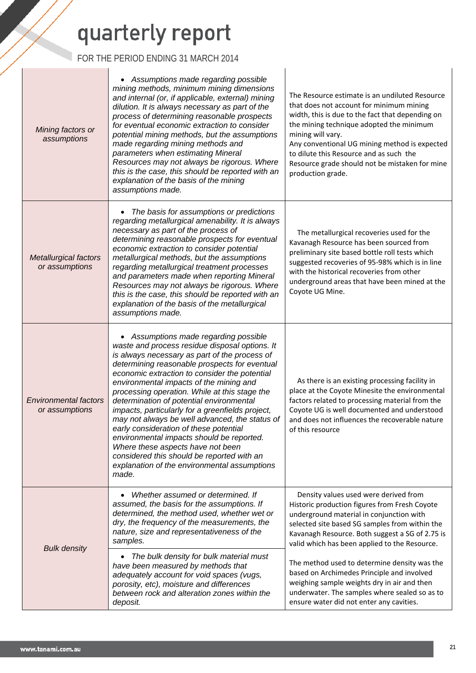### FOR THE PERIOD ENDING 31 MARCH 2014

 $\mathbf{r}$ 

| Mining factors or<br>assumptions                                                                                                                                                                                                                                                                                                                                                                                                                                                                                                                                                                                                                                                                                                                                              | Assumptions made regarding possible<br>mining methods, minimum mining dimensions<br>and internal (or, if applicable, external) mining<br>dilution. It is always necessary as part of the<br>process of determining reasonable prospects<br>for eventual economic extraction to consider<br>potential mining methods, but the assumptions<br>made regarding mining methods and<br>parameters when estimating Mineral<br>Resources may not always be rigorous. Where<br>this is the case, this should be reported with an<br>explanation of the basis of the mining<br>assumptions made. | The Resource estimate is an undiluted Resource<br>that does not account for minimum mining<br>width, this is due to the fact that depending on<br>the mining technique adopted the minimum<br>mining will vary.<br>Any conventional UG mining method is expected<br>to dilute this Resource and as such the<br>Resource grade should not be mistaken for mine<br>production grade. |
|-------------------------------------------------------------------------------------------------------------------------------------------------------------------------------------------------------------------------------------------------------------------------------------------------------------------------------------------------------------------------------------------------------------------------------------------------------------------------------------------------------------------------------------------------------------------------------------------------------------------------------------------------------------------------------------------------------------------------------------------------------------------------------|----------------------------------------------------------------------------------------------------------------------------------------------------------------------------------------------------------------------------------------------------------------------------------------------------------------------------------------------------------------------------------------------------------------------------------------------------------------------------------------------------------------------------------------------------------------------------------------|------------------------------------------------------------------------------------------------------------------------------------------------------------------------------------------------------------------------------------------------------------------------------------------------------------------------------------------------------------------------------------|
| <b>Metallurgical factors</b><br>or assumptions                                                                                                                                                                                                                                                                                                                                                                                                                                                                                                                                                                                                                                                                                                                                | The basis for assumptions or predictions<br>٠<br>regarding metallurgical amenability. It is always<br>necessary as part of the process of<br>determining reasonable prospects for eventual<br>economic extraction to consider potential<br>metallurgical methods, but the assumptions<br>regarding metallurgical treatment processes<br>and parameters made when reporting Mineral<br>Resources may not always be rigorous. Where<br>this is the case, this should be reported with an<br>explanation of the basis of the metallurgical<br>assumptions made.                           | The metallurgical recoveries used for the<br>Kavanagh Resource has been sourced from<br>preliminary site based bottle roll tests which<br>suggested recoveries of 95-98% which is in line<br>with the historical recoveries from other<br>underground areas that have been mined at the<br>Coyote UG Mine.                                                                         |
| • Assumptions made regarding possible<br>waste and process residue disposal options. It<br>is always necessary as part of the process of<br>determining reasonable prospects for eventual<br>economic extraction to consider the potential<br>environmental impacts of the mining and<br>processing operation. While at this stage the<br><b>Environmental factors</b><br>determination of potential environmental<br>or assumptions<br>impacts, particularly for a greenfields project,<br>may not always be well advanced, the status of<br>early consideration of these potential<br>environmental impacts should be reported.<br>Where these aspects have not been<br>considered this should be reported with an<br>explanation of the environmental assumptions<br>made. |                                                                                                                                                                                                                                                                                                                                                                                                                                                                                                                                                                                        | As there is an existing processing facility in<br>place at the Coyote Minesite the environmental<br>factors related to processing material from the<br>Coyote UG is well documented and understood<br>and does not influences the recoverable nature<br>of this resource                                                                                                           |
|                                                                                                                                                                                                                                                                                                                                                                                                                                                                                                                                                                                                                                                                                                                                                                               | Whether assumed or determined. If<br>assumed, the basis for the assumptions. If<br>determined, the method used, whether wet or<br>dry, the frequency of the measurements, the<br>nature, size and representativeness of the<br>samples.                                                                                                                                                                                                                                                                                                                                                | Density values used were derived from<br>Historic production figures from Fresh Coyote<br>underground material in conjunction with<br>selected site based SG samples from within the<br>Kavanagh Resource. Both suggest a SG of 2.75 is<br>valid which has been applied to the Resource.                                                                                           |
| <b>Bulk density</b>                                                                                                                                                                                                                                                                                                                                                                                                                                                                                                                                                                                                                                                                                                                                                           | The bulk density for bulk material must<br>٠<br>have been measured by methods that<br>adequately account for void spaces (vugs,<br>porosity, etc), moisture and differences<br>between rock and alteration zones within the<br>deposit.                                                                                                                                                                                                                                                                                                                                                | The method used to determine density was the<br>based on Archimedes Principle and involved<br>weighing sample weights dry in air and then<br>underwater. The samples where sealed so as to<br>ensure water did not enter any cavities.                                                                                                                                             |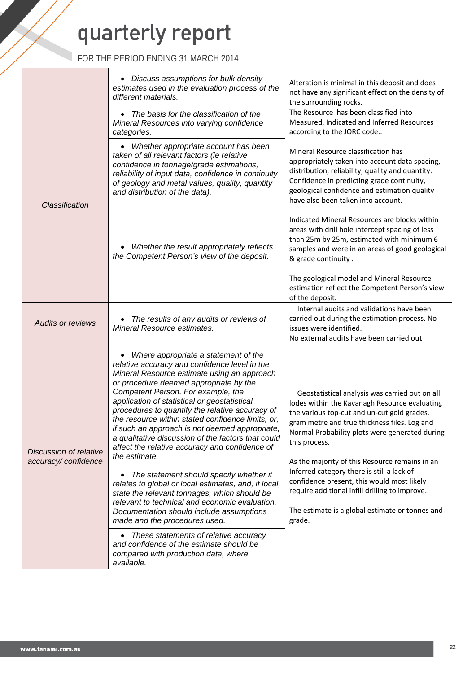|                                                      | • Discuss assumptions for bulk density<br>estimates used in the evaluation process of the<br>different materials.                                                                                                                                                                                                                                                                                                                                                                                                                                       | Alteration is minimal in this deposit and does<br>not have any significant effect on the density of<br>the surrounding rocks.                                                                                                                                                                                       |  |
|------------------------------------------------------|---------------------------------------------------------------------------------------------------------------------------------------------------------------------------------------------------------------------------------------------------------------------------------------------------------------------------------------------------------------------------------------------------------------------------------------------------------------------------------------------------------------------------------------------------------|---------------------------------------------------------------------------------------------------------------------------------------------------------------------------------------------------------------------------------------------------------------------------------------------------------------------|--|
|                                                      | The basis for the classification of the<br>$\bullet$<br>Mineral Resources into varying confidence<br>categories.                                                                                                                                                                                                                                                                                                                                                                                                                                        | The Resource has been classified into<br>Measured, Indicated and Inferred Resources<br>according to the JORC code                                                                                                                                                                                                   |  |
| Classification                                       | • Whether appropriate account has been<br>taken of all relevant factors (ie relative<br>confidence in tonnage/grade estimations,<br>reliability of input data, confidence in continuity<br>of geology and metal values, quality, quantity<br>and distribution of the data).                                                                                                                                                                                                                                                                             | Mineral Resource classification has<br>appropriately taken into account data spacing,<br>distribution, reliability, quality and quantity.<br>Confidence in predicting grade continuity,<br>geological confidence and estimation quality<br>have also been taken into account.                                       |  |
|                                                      | Whether the result appropriately reflects<br>the Competent Person's view of the deposit.                                                                                                                                                                                                                                                                                                                                                                                                                                                                | Indicated Mineral Resources are blocks within<br>areas with drill hole intercept spacing of less<br>than 25m by 25m, estimated with minimum 6<br>samples and were in an areas of good geological<br>& grade continuity.                                                                                             |  |
|                                                      |                                                                                                                                                                                                                                                                                                                                                                                                                                                                                                                                                         | The geological model and Mineral Resource<br>estimation reflect the Competent Person's view<br>of the deposit.                                                                                                                                                                                                      |  |
| <b>Audits or reviews</b>                             | The results of any audits or reviews of<br>Mineral Resource estimates.                                                                                                                                                                                                                                                                                                                                                                                                                                                                                  | Internal audits and validations have been<br>carried out during the estimation process. No<br>issues were identified.<br>No external audits have been carried out                                                                                                                                                   |  |
| <b>Discussion of relative</b><br>accuracy/confidence | Where appropriate a statement of the<br>relative accuracy and confidence level in the<br>Mineral Resource estimate using an approach<br>or procedure deemed appropriate by the<br>Competent Person. For example, the<br>application of statistical or geostatistical<br>procedures to quantify the relative accuracy of<br>the resource within stated confidence limits, or,<br>if such an approach is not deemed appropriate,<br>a qualitative discussion of the factors that could<br>affect the relative accuracy and confidence of<br>the estimate. | Geostatistical analysis was carried out on all<br>lodes within the Kavanagh Resource evaluating<br>the various top-cut and un-cut gold grades,<br>gram metre and true thickness files. Log and<br>Normal Probability plots were generated during<br>this process.<br>As the majority of this Resource remains in an |  |
|                                                      | The statement should specify whether it<br>$\bullet$<br>relates to global or local estimates, and, if local,<br>state the relevant tonnages, which should be<br>relevant to technical and economic evaluation.<br>Documentation should include assumptions<br>made and the procedures used.                                                                                                                                                                                                                                                             | Inferred category there is still a lack of<br>confidence present, this would most likely<br>require additional infill drilling to improve.<br>The estimate is a global estimate or tonnes and<br>grade.                                                                                                             |  |
|                                                      | These statements of relative accuracy<br>$\bullet$<br>and confidence of the estimate should be<br>compared with production data, where<br>available.                                                                                                                                                                                                                                                                                                                                                                                                    |                                                                                                                                                                                                                                                                                                                     |  |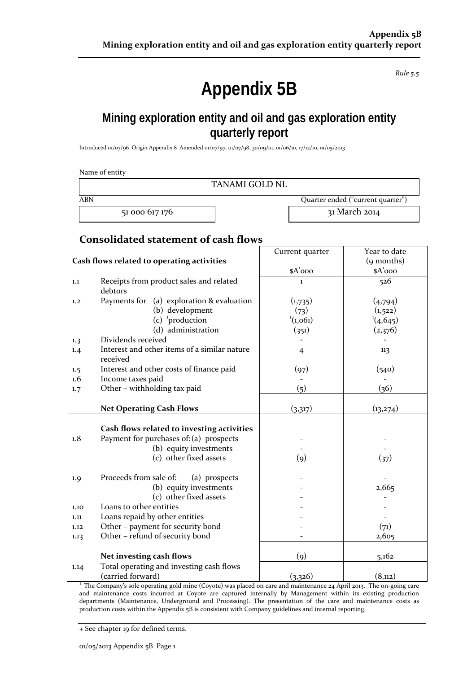*Rule 5.5*

## **Appendix 5B**

### **Mining exploration entity and oil and gas exploration entity quarterly report**

Introduced 01/07/96 Origin Appendix 8 Amended 01/07/97, 01/07/98, 30/09/01, 01/06/10, 17/12/10, 01/05/2013

|            | Name of entity<br><b>TANAMI GOLD NL</b>                  |                    |                                   |
|------------|----------------------------------------------------------|--------------------|-----------------------------------|
| <b>ABN</b> |                                                          |                    | Quarter ended ("current quarter") |
|            | 51 000 617 176                                           |                    | 31 March 2014                     |
|            | <b>Consolidated statement of cash flows</b>              |                    |                                   |
|            |                                                          | Current quarter    | Year to date                      |
|            | Cash flows related to operating activities               |                    | (9 months)                        |
|            |                                                          | \$A'ooo            | \$A'ooo                           |
| 1.1        | Receipts from product sales and related<br>debtors       | 1                  | 526                               |
| 1,2        | Payments for (a) exploration & evaluation                | (1,735)            | (4,794)                           |
|            | (b) development                                          | (73)               | (1,522)                           |
|            | (c) $\frac{1}{2}$ production                             | (1,061)            | $^{1}(4,645)$                     |
|            | (d) administration                                       | (351)              | (2,376)                           |
| 1.3        | Dividends received                                       |                    |                                   |
| 1.4        | Interest and other items of a similar nature<br>received | $\overline{4}$     | 113                               |
| 1.5        | Interest and other costs of finance paid                 | (97)               | (540)                             |
| 1.6        | Income taxes paid                                        |                    |                                   |
| 1.7        | Other - withholding tax paid                             | (5)                | (36)                              |
|            | <b>Net Operating Cash Flows</b>                          | (3,317)            | (13,274)                          |
|            | Cash flows related to investing activities               |                    |                                   |
| 1.8        | Payment for purchases of: (a) prospects                  |                    |                                   |
|            | (b) equity investments                                   |                    |                                   |
|            | (c) other fixed assets                                   | $\left( 9 \right)$ | (37)                              |
| 1.9        | Proceeds from sale of:<br>(a) prospects                  |                    |                                   |
|            | (b) equity investments                                   |                    | 2,665                             |
|            | (c) other fixed assets                                   |                    |                                   |
| 1.10       | Loans to other entities                                  |                    |                                   |
| 1.11       | Loans repaid by other entities                           |                    |                                   |
| 1.12       | Other - payment for security bond                        |                    | (71)                              |
| 1.13       | Other - refund of security bond                          |                    | 2,605                             |
|            | Net investing cash flows                                 | $\left( 9\right)$  | 5,162                             |
|            | Total operating and investing cash flows                 |                    |                                   |
| 1.14       | (carried forward)                                        | (3,326)            | (8,112)                           |
|            |                                                          |                    |                                   |

<sup>1.</sup> The Company's sole operating gold mine (Coyote) was placed on care and maintenance 24 April 2013. The on-going care and maintenance costs incurred at Coyote are captured internally by Management within its existing production departments (Maintenance, Underground and Processing). The presentation of the care and maintenance costs as production costs within the Appendix 5B is consistent with Company guidelines and internal reporting.

+ See chapter 19 for defined terms.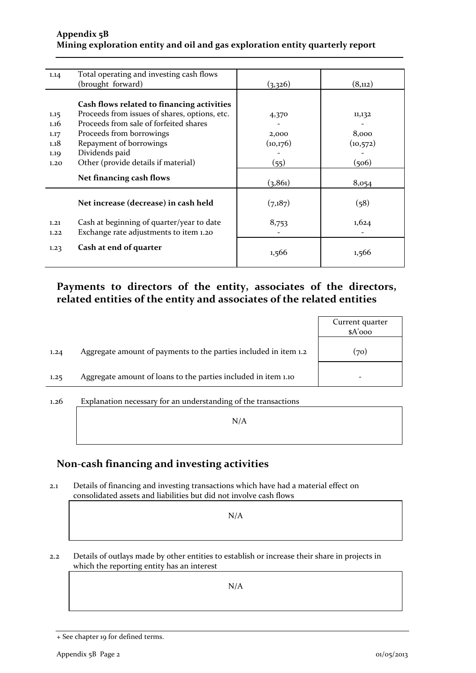#### **Appendix 5B Mining exploration entity and oil and gas exploration entity quarterly report**

| 1.14 | Total operating and investing cash flows      |          |           |
|------|-----------------------------------------------|----------|-----------|
|      | (brought forward)                             | (3,326)  | (8,112)   |
|      |                                               |          |           |
|      | Cash flows related to financing activities    |          |           |
| 1.15 | Proceeds from issues of shares, options, etc. | 4,370    | 11,132    |
| 1.16 | Proceeds from sale of forfeited shares        |          |           |
| 1.17 | Proceeds from borrowings                      | 2,000    | 8,000     |
| 1.18 | Repayment of borrowings                       | (10,176) | (10, 572) |
| 1.19 | Dividends paid                                |          |           |
| 1.20 | Other (provide details if material)           | (55)     | (506)     |
|      |                                               |          |           |
|      | Net financing cash flows                      | (3, 861) | 8,054     |
|      |                                               |          |           |
|      | Net increase (decrease) in cash held          | (7,187)  | (58)      |
|      |                                               |          |           |
| 1.21 | Cash at beginning of quarter/year to date     | 8,753    | 1,624     |
| 1,22 | Exchange rate adjustments to item 1.20        |          |           |
|      | Cash at end of quarter                        |          |           |
| 1.23 |                                               | 1,566    | 1,566     |
|      |                                               |          |           |

### **Payments to directors of the entity, associates of the directors, related entities of the entity and associates of the related entities**

|      |                                                                  | Current quarter<br>$A'$ ooo |
|------|------------------------------------------------------------------|-----------------------------|
| 1.24 | Aggregate amount of payments to the parties included in item 1.2 | (70)                        |
| 1.25 | Aggregate amount of loans to the parties included in item 1.10   |                             |
|      |                                                                  |                             |

1.26 Explanation necessary for an understanding of the transactions N/A

### **Non‐cash financing and investing activities**

2.1 Details of financing and investing transactions which have had a material effect on consolidated assets and liabilities but did not involve cash flows

N/A

2.2 Details of outlays made by other entities to establish or increase their share in projects in which the reporting entity has an interest

N/A

<sup>+</sup> See chapter 19 for defined terms.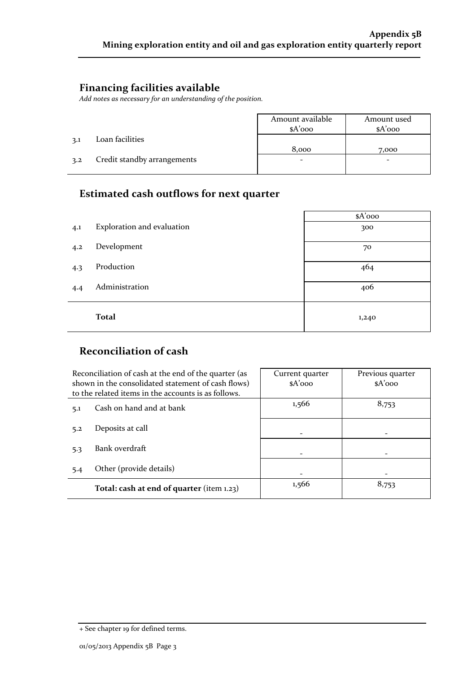### **Financing facilities available**

*Add notes as necessary for an understanding of the position.*

|     |                             | Amount available | Amount used |
|-----|-----------------------------|------------------|-------------|
|     |                             | $A'$ ooo         | $A'$ 000    |
| 3.1 | Loan facilities             |                  |             |
|     |                             | 8,000            | 7,000       |
| 3.2 | Credit standby arrangements | -                | -           |
|     |                             |                  |             |

### **Estimated cash outflows for next quarter**

|     |                            | \$A'ooo |
|-----|----------------------------|---------|
| 4.1 | Exploration and evaluation | 300     |
| 4.2 | Development                | 70      |
| 4.3 | Production                 | 464     |
| 4.4 | Administration             | 406     |
|     | <b>Total</b>               | 1,240   |

### **Reconciliation of cash**

|     | Reconciliation of cash at the end of the quarter (as<br>shown in the consolidated statement of cash flows)<br>to the related items in the accounts is as follows. | Current quarter<br>$A'$ 000 | Previous quarter<br>$A'$ 000 |
|-----|-------------------------------------------------------------------------------------------------------------------------------------------------------------------|-----------------------------|------------------------------|
| 5.1 | Cash on hand and at bank                                                                                                                                          | 1,566                       | 8,753                        |
| 5.2 | Deposits at call                                                                                                                                                  |                             |                              |
| 5.3 | Bank overdraft                                                                                                                                                    |                             |                              |
| 5.4 | Other (provide details)                                                                                                                                           |                             |                              |
|     | Total: cash at end of quarter (item 1.23)                                                                                                                         | 1,566                       | 8,753                        |

<sup>+</sup> See chapter 19 for defined terms.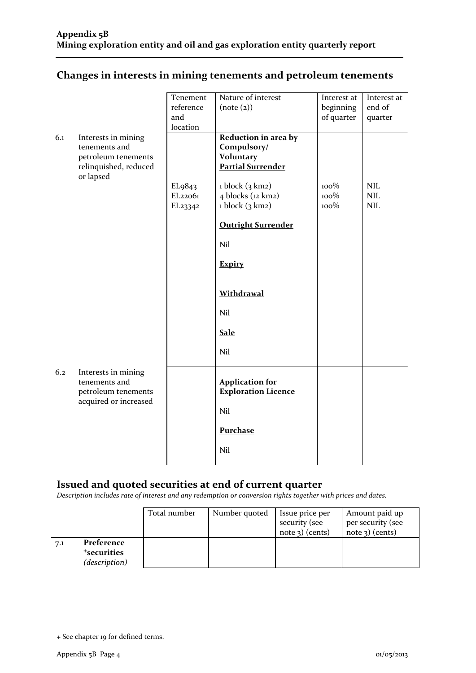### **Changes in interests in mining tenements and petroleum tenements**

|     |                                              | Tenement                        | Nature of interest                                   | Interest at | Interest at |
|-----|----------------------------------------------|---------------------------------|------------------------------------------------------|-------------|-------------|
|     |                                              | reference                       | (note (2))                                           | beginning   | end of      |
|     |                                              | and                             |                                                      | of quarter  | quarter     |
|     |                                              | location                        |                                                      |             |             |
| 6.1 | Interests in mining                          |                                 | Reduction in area by                                 |             |             |
|     | tenements and                                |                                 | Compulsory/                                          |             |             |
|     | petroleum tenements<br>relinquished, reduced |                                 | <b>Voluntary</b><br><b>Partial Surrender</b>         |             |             |
|     | or lapsed                                    |                                 |                                                      |             |             |
|     |                                              | EL <sub>9</sub> 8 <sub>43</sub> | $1$ block $(3 \text{ km2})$                          | 100%        | <b>NIL</b>  |
|     |                                              | EL22061                         | 4 blocks (12 km2)                                    | 100%        | <b>NIL</b>  |
|     |                                              | EL23342                         | $1$ block $(3 \text{ km2})$                          | 100%        | <b>NIL</b>  |
|     |                                              |                                 | <b>Outright Surrender</b>                            |             |             |
|     |                                              |                                 |                                                      |             |             |
|     |                                              |                                 | Nil                                                  |             |             |
|     |                                              |                                 | <b>Expiry</b>                                        |             |             |
|     |                                              |                                 |                                                      |             |             |
|     |                                              |                                 | <b>Withdrawal</b>                                    |             |             |
|     |                                              |                                 | Nil                                                  |             |             |
|     |                                              |                                 | <b>Sale</b>                                          |             |             |
|     |                                              |                                 | Nil                                                  |             |             |
| 6.2 | Interests in mining                          |                                 |                                                      |             |             |
|     | tenements and<br>petroleum tenements         |                                 | <b>Application for</b><br><b>Exploration Licence</b> |             |             |
|     | acquired or increased                        |                                 |                                                      |             |             |
|     |                                              |                                 | Nil                                                  |             |             |
|     |                                              |                                 | <b>Purchase</b>                                      |             |             |
|     |                                              |                                 | Nil                                                  |             |             |
|     |                                              |                                 |                                                      |             |             |

### **Issued and quoted securities at end of current quarter**

*Description includes rate of interest and any redemption or conversion rights together with prices and dates.*

|     |                                          | Total number | Number quoted | Issue price per<br>security (see | Amount paid up<br>per security (see |
|-----|------------------------------------------|--------------|---------------|----------------------------------|-------------------------------------|
|     |                                          |              |               | $note$ 3) (cents)                | $note$ 3) (cents)                   |
| 7.1 | Preference                               |              |               |                                  |                                     |
|     | <sup>+</sup> securities<br>(description) |              |               |                                  |                                     |

<sup>+</sup> See chapter 19 for defined terms.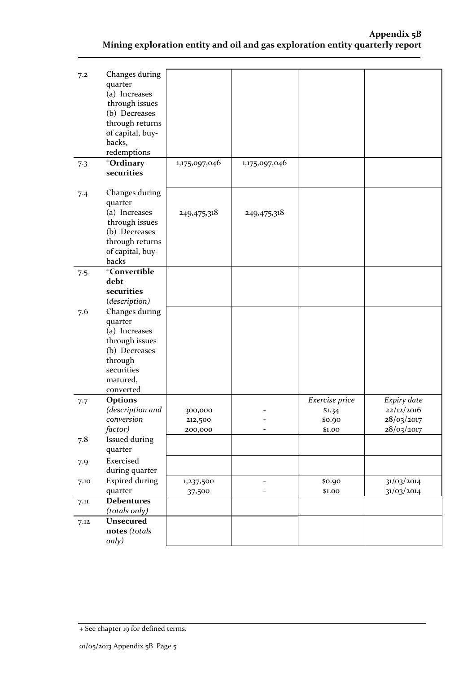| 7.2  | Changes during<br>quarter<br>(a) Increases<br>through issues<br>(b) Decreases<br>through returns<br>of capital, buy-<br>backs,<br>redemptions |                     |                                            |                  |                           |
|------|-----------------------------------------------------------------------------------------------------------------------------------------------|---------------------|--------------------------------------------|------------------|---------------------------|
| 7.3  | +Ordinary<br>securities                                                                                                                       | 1,175,097,046       | 1,175,097,046                              |                  |                           |
| 7.4  | Changes during<br>quarter<br>(a) Increases<br>through issues<br>(b) Decreases<br>through returns<br>of capital, buy-<br>backs                 | 249,475,318         | 249,475,318                                |                  |                           |
| 7.5  | <sup>+</sup> Convertible                                                                                                                      |                     |                                            |                  |                           |
|      | debt<br>securities                                                                                                                            |                     |                                            |                  |                           |
|      | (description)                                                                                                                                 |                     |                                            |                  |                           |
| 7.6  | Changes during<br>quarter<br>(a) Increases<br>through issues<br>(b) Decreases<br>through<br>securities<br>matured,<br>converted               |                     |                                            |                  |                           |
| 7.7  | <b>Options</b><br>(description and                                                                                                            |                     |                                            | Exercise price   | Expiry date<br>22/12/2016 |
|      | conversion                                                                                                                                    | 300,000<br>212,500  |                                            | \$1.34<br>\$0.90 | 28/03/2017                |
|      | factor)                                                                                                                                       | 200,000             | $\overline{\phantom{0}}$                   | \$1.00           | 28/03/2017                |
| 7.8  | <b>Issued during</b><br>quarter                                                                                                               |                     |                                            |                  |                           |
| 7.9  | Exercised<br>during quarter                                                                                                                   |                     |                                            |                  |                           |
| 7.10 | <b>Expired during</b><br>quarter                                                                                                              | 1,237,500<br>37,500 | $\overline{a}$<br>$\overline{\phantom{a}}$ | \$0.90<br>\$1.00 | 31/03/2014<br>31/03/2014  |
| 7.11 | <b>Debentures</b><br>(totals only)                                                                                                            |                     |                                            |                  |                           |
| 7.12 | Unsecured<br>notes (totals<br>only)                                                                                                           |                     |                                            |                  |                           |

<sup>+</sup> See chapter 19 for defined terms.